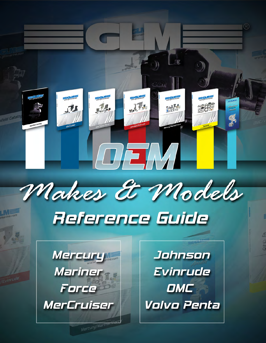



# Reference Guide



Mercury/Marine

Johnson Evinrude **OMC** Volvo Penta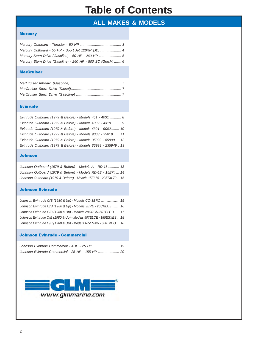#### **Table of Contents**

#### **ALL MAKES & MODELS**

#### **Mercury**

| Mercury Stern Drive (Gasoline) - 260 HP - 800 SC (Gen. V)  6 |  |
|--------------------------------------------------------------|--|

#### **MerCruiser**

#### Evinrude

| Evinrude Outboard (1979 & Before) - Models 451 - 4031  8      |
|---------------------------------------------------------------|
| Evinrude Outboard (1979 & Before) - Models 4032 - 4319 9      |
| Evinrude Outboard (1979 & Before) - Models 4321 - 9002 10     |
| Evinrude Outboard (1979 & Before) - Models 9003 - 35019 11    |
| Evinrude Outboard (1979 & Before) - Models 35022 - 85990  12  |
| Evinrude Outboard (1979 & Before) - Models 85993 - 235949. 13 |

#### Johnson

| Johnson Outboard (1979 & Before) - Models A - RD-11  13        |  |
|----------------------------------------------------------------|--|
| Johnson Outboard (1979 & Before) - Models RD-12 - 15E74 14     |  |
| Johnson Outboard (1979 & Before) - Models 15EL75 - 235TXL79 15 |  |

#### Johnson Evinrude

| Johnson Evinrude O/B (1980 & Up) - Models CO-3BRC  15           |
|-----------------------------------------------------------------|
| Johnson Evinrude O/B (1980 & Up) - Models 3BRE - 20CRLCE  16    |
| Johnson Evinrude O/B (1980 & Up) - Models 20CRCN-50TELCD 17     |
| Johnson Evinrude O/B (1980 & Up) - Models 50TELCE - 185ESXES 18 |
| Johnson Evinrude O/B (1980 & Up) - Models 185ESXW - 300TXCO  18 |

#### Johnson Evinrude - Commercial

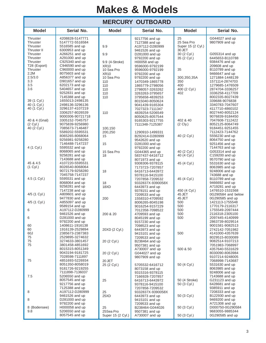#### **MERCURY OUTBOARD**

|                          |                                    | ו יוטטיובוזו                  | <b>VUIDUAI\D</b>                   |                            |                                    |  |  |  |  |
|--------------------------|------------------------------------|-------------------------------|------------------------------------|----------------------------|------------------------------------|--|--|--|--|
| <b>Model</b>             | Serial No.                         | <b>Model</b>                  | Serial No.                         | <b>Model</b>               | Serial No.                         |  |  |  |  |
| Thruster<br>Thruster     | 4208828-5147771<br>5147772-5516584 |                               | 9217756 and up<br>7127388 and up   | 25<br>25 Sea Pro           | G044027 and up<br>9807909 and up   |  |  |  |  |
| Thruster                 | 5516585 and up                     | 9.9                           | A197112-D280999                    | Super 15 (2 Cyl.)          |                                    |  |  |  |  |
| Thruster II              | 6300953 and up                     |                               | 9461526 and up                     | 30 JET                     |                                    |  |  |  |  |
| Thruster                 | A266251 and up                     | 9.9                           | D281000 and up                     | 30 (2 Cyl.)                | G055314 and up                     |  |  |  |  |
| Thruster<br>Thruster     | A291000 and up                     |                               | 9792200 and up                     | 35 (2 Cyl.)                | 6445653-B110788                    |  |  |  |  |
| T28 (Export)             | C925340 and up<br>C946590 and up   | 9.9 (4-Stroke)<br><b>XR10</b> | H00058 and up                      |                            | 9384476 and up<br>209608 and up    |  |  |  |  |
| Thruster                 | C960000 and up                     | 10 Sea Pro                    | 9596000-9792199<br>9596000-9792199 | 35                         | B110789 and up                     |  |  |  |  |
| 2.2M                     | 8075603 and up                     | <b>XR10</b>                   | 9792200 and up                     |                            | 9466647 and up                     |  |  |  |  |
| 2.5/3.0                  | A856377 and up                     | 10 Sea Pro                    | 9792200 and up                     | 300,350,35A                | 1271884-1448139                    |  |  |  |  |
| 3.3                      | D901657 and up                     | 110                           | 1470349-1865778                    | 350                        | 1571114-2874703                    |  |  |  |  |
| 3.5                      | 6202173 and up                     | 110                           | 1865779-2798056                    | 400                        | 1279685-1476509                    |  |  |  |  |
| 3.6                      | 5404657 and up                     | 110                           | 2798057-3263262                    | 400 (2 Cyl.)               | 2874704-3336257<br>3336258-4117709 |  |  |  |  |
|                          | 9252831 and up<br>7145388 and up   | 110<br>110                    | 3263263-3795657<br>3795658-4839253 | 402                        | 8002335-8027439                    |  |  |  |  |
| 39 (1 Cyl.)              | 1655013-2498135                    |                               | 8015040-8050624                    |                            | 339688-9076838                     |  |  |  |  |
| 40 (1 Cyl.)              | 2498136-3296136                    |                               | 9041439-9165304                    |                            | 3340783-7047607                    |  |  |  |  |
| 40 (1 Cyl.)              | 3296137-4107219                    |                               | 7027323-7111347                    |                            | 4117710-4860102                    |  |  |  |  |
|                          | 3306257-8026539                    | 110                           | 4839254-5206549                    |                            | 8027440-8052124                    |  |  |  |  |
|                          | 9000306-90721718                   |                               | 8050625-8057544                    |                            | 9076839-9184450                    |  |  |  |  |
| 40 & 4 (Gnal)<br>(2 CyL) | 3305152-7045757<br>9075839-9256980 |                               | 9165303-9217755                    | 402 & 40<br>$(2$ Cly.)     | 7047608-7112422<br>8052125-8064749 |  |  |  |  |
| 40 (2 Cyl.)              | 7085673-7146487                    | 100,150                       | 7111348-7125387                    |                            | 9184451-9251455                    |  |  |  |  |
|                          | 5589202-5595531                    | 200,250                       | 1290910-1499331                    |                            | 7112423-7144762                    |  |  |  |  |
|                          | 8065265-8068064                    | 15                            | B292414-D280999                    | 40 (2 Cyl.)                | 5556230 and up                     |  |  |  |  |
|                          | 9256981-9258280                    |                               | 9542620 and up                     |                            | 8064750 and up                     |  |  |  |  |
|                          | 7146488-7147237                    | 15                            | D281000 and up                     |                            | 9251456 and up                     |  |  |  |  |
| 4 (1 Cyl.)               | 5595532 and up                     |                               | 9792200 and up                     |                            | 7144763 and up                     |  |  |  |  |
|                          | 8068065 and up<br>9258281 and up   | 15 Sea Pro                    | G044365 and up                     | 40 (2 Cyl.)<br>40 (4 Cyl.) | G053314 and up<br>C159200 and up   |  |  |  |  |
|                          | 7143688 and up                     | 18                            | 5837437-6416712<br>8071973 and up  |                            | 9570790 and up                     |  |  |  |  |
| 45 & 4.5                 | 4107220-5595531                    |                               | 9308306-9378115                    | 45 (4 Cyl.)                | 5531630 and up                     |  |  |  |  |
| $(1$ Cyl.)               | 8026540-8068064                    |                               | 7173723-7207857                    |                            | 8063985 and up                     |  |  |  |  |
|                          | 9072179-9258280                    | 18                            | 6416713-6443972                    |                            | 9248006 and up                     |  |  |  |  |
|                          | 7045758-7147237                    |                               | 9378116-9415100                    |                            | 743688 and up                      |  |  |  |  |
| 4.5 (1 Cyl.)             | 5595531 and up                     |                               | 7207858-7209532                    | 45 (4 Cyl.)                | B110789 and up                     |  |  |  |  |
|                          | 8068064 and up<br>9258281 and up   | 18<br>18XD                    | 9332837X-9390058X                  |                            | 9466692 and up<br>A719281 and up   |  |  |  |  |
|                          | 7147238 and up                     |                               | 6443973 and up<br>9378151 and up   | 450 (4 Cyl.)               | 1476510-1531568                    |  |  |  |  |
| 4/5 (1 Cyl.)             | A809601 and up                     |                               | 7209533 and up                     | 45 JET                     | 0G290584 and below                 |  |  |  |  |
|                          | 9477830 and up                     | 200                           | 1558310-4709592                    | 45 JET                     | 0G290585 and up                    |  |  |  |  |
| 4/5 (1 Cyl.)             | A855097 and up                     |                               | 8006265-8045198                    | 500                        | 1421113-1755548                    |  |  |  |  |
|                          | 9589154 and up                     |                               | 9016254-9157229                    | 500                        | 1770179-2116317                    |  |  |  |  |
| 6                        | A197112-D280999<br>9461526 and up  |                               | 7012358-7098522                    | 500                        | 1755549-2097444                    |  |  |  |  |
| 6                        | D281000 and up                     | 200 & 20                      | 4709593 and up<br>8045199 and up   | 500<br>500                 | 2116318-2305100<br>2097445-4140999 |  |  |  |  |
|                          | 9792200 and up                     |                               | 9157230 and up                     |                            | 2863739-8029514                    |  |  |  |  |
| 60                       | 1408611-1916138                    |                               | 7098523 and up                     |                            | 9001581-9082513                    |  |  |  |  |
| 60                       | 1916139-2529894                    | 20XD (2 Cyl.)                 | 6443973 and up                     |                            | 2742142-7051982                    |  |  |  |  |
| 60J                      | 2385673-2387383                    |                               | 9415101 and up                     | 500                        | 4141000-4357639                    |  |  |  |  |
| $75\,$<br>75             | 2529895-3274632                    |                               | 7209533 and up                     |                            | 8029515-8030089<br>9082514-9107213 |  |  |  |  |
| 75                       | 3274633-3801457<br>3801458-4851692 | 20 (2 Cyl.)                   | B238464 and up<br>9507381 and up   |                            | 7051983-7068997                    |  |  |  |  |
|                          | 8015315-8051349                    |                               | A730007 and up                     | 500 & 50                   | 4357640-5531629                    |  |  |  |  |
|                          | 9043194-9181725                    | 20 (2 Cyl.)                   | G044027 and up                     |                            | 8030090-8063984                    |  |  |  |  |
|                          | 7028598-7111897                    |                               | 9807909 and up                     |                            | 9107214-9248005                    |  |  |  |  |
| 75                       | 4851693-5226934                    | 20 JET                        |                                    |                            | 7068998-7143687                    |  |  |  |  |
|                          | 8051350-8058019                    | 25 (2 Cyl.)                   | 5705532-6416712                    | 50 (4 Cyl.)                | 5531630 and up                     |  |  |  |  |
|                          | 9181726-9219255<br>7111898-7136037 |                               | 8073158 and up                     |                            | 8063985 and up<br>9248006 and up   |  |  |  |  |
| 7.5                      | 5206550 and up                     |                               | 9315316-9378115<br>7166928-7207857 |                            | 7143688 and up                     |  |  |  |  |
|                          | 8057545 and up                     | 25                            | 6416713-6443972                    | 50 (4 Stroke)              | G231123 and up                     |  |  |  |  |
|                          | 9217756 and up                     |                               | 9378116-9415100                    | 50 (3 Cyl.)                | 6428681 and up                     |  |  |  |  |
|                          | 7125388 and up                     |                               | 7207858-7209532                    |                            | 9385911 and up                     |  |  |  |  |
| 8                        | A197112-D280999                    | 25                            | 9332837X-9390058X                  |                            | 7208333 and up                     |  |  |  |  |
| 8                        | 9461526 and up<br>D281000 and up   | 25XD                          | 6443973 and up                     | 50 (3 Cyl.)                | B122930 and up                     |  |  |  |  |
|                          | 9792200 and up                     |                               | 9415101 and up<br>7209533 and up   |                            | 9469200 and up<br>A721308 and up   |  |  |  |  |
| 8 (Bodensee)             | H000058 and up                     | 25                            | B238464-G044026                    | 50 (3 Cyl.)                | D000750-0G290584                   |  |  |  |  |
| 9.8                      | 5206550 and up                     | 25Sea Pro                     | 9507381 and up                     |                            | 9683055-9885344                    |  |  |  |  |
|                          | 8057545 and up                     | Super 15 (2 Cyl.)             | A730007 and up                     | 50 (3 Cyl.)                | 0G290585 and up                    |  |  |  |  |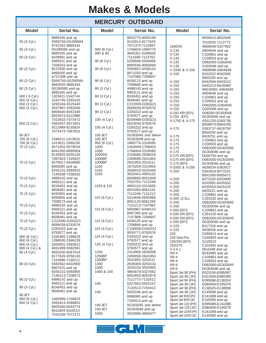| <b>MERCURY OUTBOARD</b>                      |                                                                          |                            |                                                         |                                                                 |                                                        |  |  |  |  |
|----------------------------------------------|--------------------------------------------------------------------------|----------------------------|---------------------------------------------------------|-----------------------------------------------------------------|--------------------------------------------------------|--|--|--|--|
| <b>Model</b>                                 | Serial No.                                                               | <b>Model</b>               | Serial No.                                              | Serial No.                                                      |                                                        |  |  |  |  |
| 55 (3 Cyl.)                                  | 9885345 and up<br>D000750-0G290584                                       |                            | 8043775-8050199<br>9110014-9177625                      |                                                                 | 8005615-8052649<br>7010533-7112772                     |  |  |  |  |
| 55 (3 Cyl.)                                  | 9741042-9885344<br>0G290585 and up<br>9885345 and up                     | 900 (6 Cyl.)<br>900 & 90   | 7071373-7110997<br>1766824-1869775<br>4845301-5299505   | 1500XS<br>$V-135$                                               | 4868648-5327662<br>A904646 and up                      |  |  |  |  |
| 60 (3 Cyl.)                                  | 6428681 and up<br>9385911 and up                                         | 90 (6 Cyl.)                | 7111698-7123762<br>5299506-5594656                      | $V-135$<br>$V-135$<br>$V - 135$                                 | C100861 and up<br>C239553 and up<br>D082000-G303045    |  |  |  |  |
| 60 (3 Cyl.)                                  | 7208333 and up<br>B122930 and up                                         | 90 (6 Cyl.)                | 8060545-8060694<br>5594657-6436122                      | $V-135$<br>V-1500 & V-150                                       | G303046 and up<br>4868998-A904645                      |  |  |  |  |
|                                              | 9469200 and up<br>A721308 and up                                         |                            | 8071020 and up<br>7147088-7208847                       | $V - 150$                                                       | 5432022-6042945<br>8062335 and up                      |  |  |  |  |
| 60 (3 Cyl.)                                  | D000750-0G290584<br>9683055-9885344                                      | 90 (6 Cyl.)                | 6436123 and up<br>7208848 and up                        | $V - 150$<br>$V-150$                                            | 6042946-6443212<br>6443213-6616990                     |  |  |  |  |
| 60 (3 Cyl.)                                  | 0G290585 and up<br>9885345 and up                                        | 90 (3 Cyl.)                | A996142 and up<br>9483121 and up                        | $V-150$<br>$V-150$                                              | 96616991-A904645<br>A904646 and up                     |  |  |  |  |
| 600 (6 Cyl.)<br>650 (4 Cyl.)<br>650 (3 Cyl.) | 1303411-1542744<br>1542745-3293183<br>3293184-3525440                    | 90 (3 Cyl.)<br>90 (3 Cyl.) | B240451 and up<br>9506481 and up<br>C222000-D283221     | $V-150$<br>$V-150$                                              | C100861 and up<br>C239553 and up                       |  |  |  |  |
| 650 (3 Cyl.)                                 | 3547987-4382056<br>8006640-8042349                                       | 90 (3 Cyl.)                | 9589039-9793576<br>D283222 and up                       | $V - 150$<br>$V-150$                                            | D082000-G303045<br>G303046 and up                      |  |  |  |  |
|                                              | 9020074-9112988<br>7013633-7073472                                       | 100 (4 Cyl.)               | 9793577 and up<br>B209468-D283221                       | V-150 XRI (EFI)<br>V-150 (EFI)<br>V-1750 & V-175                | D08200-0G303045<br>0G303046 and up<br>4301235-5393736  |  |  |  |  |
| 650 (3 Cyl.)                                 | 4382057-4571651<br>9112989-9135824<br>7073473-7087822                    | 100 (4 Cyl.)               | 0523034-9793576<br>D283222 and up<br>9793577 and up     | $V-175$                                                         | 8058870-8064249<br>5393737-6618750                     |  |  |  |  |
| 65 JET<br>700 (6 Cyl.)                       | 1296411-1413610                                                          | 105 JET<br>105 JET         | 0G303045 and below<br>0G303046 and up                   | $V-175$                                                         | 8064250 and up<br>6618751 and up                       |  |  |  |  |
| 700 (6 Cyl.)<br>70 (3 Cyl.)                  | 1413611-1566239<br>4571652-5579016                                       | 950 (6 Cyl.)<br>1000       | 1869776-2318585<br>1464949-1768403                      | $V-175$<br>$V-175$<br>$V-175$                                   | C100861 and up<br>C239553 and up<br>D082000-0G303045   |  |  |  |  |
|                                              | 8042350-8065064<br>9135825-9255130<br>7087823-7145937                    | 1000<br>1000SS<br>1000BP   | 1768404-2318585<br>2318586-2836018<br>2399698-2641854   | $V-175$<br>V-175 XRI (EFI)                                      | 0G303046 and up<br>D000750 and up                      |  |  |  |  |
| 70 (3 Cyl.)                                  | 5579017-6428680<br>8065065 and up                                        | 1000BP<br>1100             | 2641855-3253111<br>1870204-2314955                      | V-175 XRI (EFI)<br>V-175 (EFI)<br>V-2000 & V-200                | D082000-0G303045<br>0G303046 and up<br>4839034-5363917 |  |  |  |  |
| 70 (3 Cyl.)                                  | 9255131-9385910<br>7145938-7208332<br>A996142 and up                     | 1150<br>1150               | 2836019-3525440<br>3525441-4855152<br>8008665-8051949   | $V-200$<br>$V-200$                                              | 5363918-6073191<br>8061595-8065672<br>6073192-6203990  |  |  |  |  |
| 70 (3 Cyl.)                                  | 9483121 and up<br>B240451 and up                                         | 1150 & 115                 | 7010763-7112248<br>4855153-5314655                      | $V-200$<br>$V-200$                                              | 6203991-6435502<br>6435503-6625220                     |  |  |  |  |
| 75 (3 Cyl.)                                  | 9506481 and up<br>6432901 and up<br>9393856 and up                       | 115 (6 Cyl.)               | 8051950-8061119<br>7112248-7131212<br>5314656-5600966   | $V-200$<br>$V-200$                                              | 6625221 and up<br>C100861 and up                       |  |  |  |  |
| 75 (3 Cyl.)                                  | 7208573 and up<br>A996142 and up                                         |                            | 8061120-8061269<br>7131213-7147987                      | $V-200$ $(2.5L)$<br>$V-200$<br>$V-200$                          | C291520 and up<br>D082000-0G303045<br>0G303046 and up  |  |  |  |  |
| 75 (3 Cyl.)                                  | 9483121 and up<br>B240451 and up                                         | 115 (6 Cyl.)               | 5600967-6436122<br>8067340 and up                       | V-200 (EFI)<br>V-200 XRI (EFI)                                  | C100861 and up<br>C291520 and up                       |  |  |  |  |
| 75 (3 Cyl.)                                  | 9506481 and up<br>C222000-D283221                                        | 115 (6 Cyl.)               | 7147988-7208847<br>6436126 and up                       | V-200 XRI (EFI)<br>V-200 (EFI)                                  | D082000-0G303045<br>0G303046 and up                    |  |  |  |  |
| 75 (3 Cyl.)                                  | 9589039-9793576<br>D283222 and up                                        | 115 (4 Cyl.)               | 7208848 and up<br>C100000-D283221                       | $V-220$<br>$V-225$                                              | B117316 and up<br>5628028 and up                       |  |  |  |  |
| 800 (6 Cyl.)<br>800 (6 Cyl.)                 | 9793577 and up<br>1335465-1398629<br>1398630-1566239                     | 115 (4 Cyl.)               | 9559771-9793576<br>D283222 and up<br>9793577 and up     | 225<br>225 Sea Pro                                              | D280813 and up<br>G245605 and up                       |  |  |  |  |
| 800 (4 Cyl.)<br>800 (4 Cyl.) &               | 2559001-3493912<br>4831999-5582561                                       | 125 (4 Cyl.)               | D283222 and up<br>9793577 and up                        | 225/250 (EFI)<br>250/275                                        | G129222<br>C101891 and up                              |  |  |  |  |
| 80 (4 Cyl.)                                  | 8050200-8067014<br>9177626-9256130                                       | 1250<br>1250BP             | 2314956-2839368<br>2400058-2641954                      | $V-3.4 L$<br>$XR-4$<br>$XR-4$                                   | 5611648 and up<br>B242885 and up<br>C100861 and up     |  |  |  |  |
| 80 (4 Cyl.)                                  | 7110998-7146212<br>5582562-6432900<br>8067015 and up                     | 1250BP<br>1350<br>1400     | 2641855-3253111<br>2839369-3293233<br>3293234-3502805   | $XR-4$<br>XR-6<br>XR-6                                          | C239553 and up<br>D082000-0G303045<br>0G303046 and up  |  |  |  |  |
| 80 (3 Cyl.)                                  | 9256131-9393855<br>7146213-7208572<br>A996142 and up                     | 1400 & 140                 | 4865678-5327662<br>8052650-8052879<br>7112773-7132512   | Sport Jet 90 (PH)<br>Sport Jet 90 (JD)                          | E023150-E095087<br>E021000-E080399                     |  |  |  |  |
| 80 (3 Cyl.)                                  | 9483121 and up<br>B240451 and up                                         | 140                        | 5327663-5625107<br>7132513-7150412                      | Sport Jet 90 (PH)<br>Sport Jet 90 (JD)<br>Sport Jet 90 (PH)     | E095088-E138324<br>E080400-E145579<br>E138325-E138599  |  |  |  |  |
| 80 JET                                       | 9506481 and up                                                           | 140                        | 5625108 and up<br>8066065 and up                        | Sport Jet 90 (JD)<br>Sport Jet 95XR (PH)                        | E145580 and up<br>E141089 and up                       |  |  |  |  |
| 850 (6 Cyl.)<br>850 (4 Cyl.)                 | 1460999-1766823<br>3493913-4366801<br>8005440-8043774<br>9011604-9110013 | 140 JET<br>140 JET         | 7150413 and up<br>0G303045 and below<br>0G303046 and up | Sport Jet 95XR (JD)<br>Sport Jet 120 (PH)<br>Sport Jet 120 (JD) | E145580 and up<br>E095088-E141088<br>E080400-E145579   |  |  |  |  |
|                                              | 7010108-7071372                                                          | 1500                       | 3502806-4865677                                         | Sport Jet 120XR (PH)<br>Sport Jet 120XR (JD)                    | E141089 and up<br>E145580 and up                       |  |  |  |  |

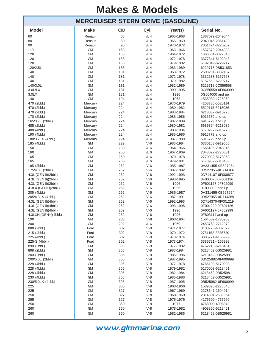|                      |                        |            |                | <b>MERCRUISER STERN DRIVE (GASOLINE)</b> |                                      |
|----------------------|------------------------|------------|----------------|------------------------------------------|--------------------------------------|
| <b>Model</b>         | <b>Make</b>            | <b>CID</b> | Cyl.           | Year(s)                                  | Serial No.                           |
| 60                   | Renault                | 68         | I/L4           | 1965-1968                                | 1887079-2049044                      |
| 80                   | Renault                | 80         | I/L4           | 1966-1969                                | 2049045-2851423                      |
| 90                   | Renault                | 96         | I/L4           | 1970-1972                                | 2851424-3226957                      |
| 110                  | <b>GM</b>              | 153        | I/L4           | 1963-1966                                | 1537370-2044033                      |
| 120                  | <b>GM</b>              | 153        | I/L4           | 1964-1972                                | 1666601-3377340                      |
| 120                  | <b>GM</b>              | 153        | I/L4           | 1972-1978                                | 3377341-5192048                      |
| 120                  | <b>GM</b>              | 153        | I/L4           | 1979-1982                                | 5192049-6229717                      |
| 120/2.5L             | <b>GM</b>              | 153        | I/L4           | 1983-1989                                | 6229718-0B531853                     |
| 140                  | <b>GM</b>              | 181        | I/L4           | 1968-1972                                | 2508261-3332137                      |
| 140                  | <b>GM</b>              | 181        | I/L4           | 1972-1978                                | 3332138-5157668                      |
| 140                  | <b>GM</b>              | 181        | I/L4           | 1979-1982                                | 5157669-6229717                      |
| 140/3.0L             | <b>GM</b>              | 181        | I/L4           | 1982-1989                                | 6229718-0C856558                     |
| 3.0L/LX              | <b>GM</b>              | 181        | I/L4           | 1990-1995                                | 0C856559-0F603999                    |
| 3.0 <sub>L</sub>     | <b>GM</b>              | 181        | I/L4           | 1996                                     | 0G604000 and up                      |
| 140                  | <b>GM</b>              | 194        | I/L6           | 1963                                     | 1538930-1725960                      |
| 470 (2bbl.)          | Mercury                | 224        | I/L4           | 1976-1979                                | 4208730-5520114                      |
| 470 (2bbl.)          | Mercury                | 224        | I/L4           | 1980-1982                                | 5520115-6218036                      |
| 470 (2bbl.)          | Mercury                | 224        | I/L4           | 1983-1984                                | 6218037-6916778                      |
| 170 (2bbl.)          | Mercury                | 224        | I/L4           | 1985-1986                                | 6916779 and up                       |
| 165/3.7L (2bbl.)     | Mercury                | 224        | I/L4           | 1987-1989                                | 6916779 and up                       |
| 485 (2bbl.)          | Mercury                | 224        | I/L4           | 1980-1982                                | 5685394-6218036                      |
| 488 (4bbl.)          | Mercury                | 224        | I/L4           | 1983-1984                                | 6170297-6916778                      |
| 190 (4bbl.)          | Mercury                | 224        | I/L4           | 1985-1986                                | 6916779 and up                       |
| 180/3.7LX (4bbl.)    | Mercury                | 224        | I/L4           | 1987-1989                                | 6916779 and up                       |
| 185 (4bbl.)          | <b>GM</b>              | 229        | $V-6$          | 1983-1984                                | 6330183-6919655                      |
| 150                  | <b>GM</b>              | 230        | I/L6           | 1964-1966                                | 1666495-2048046                      |
| 160                  | <b>GM</b>              | 250        | I/L6           | 1967-1969                                | 2048022-2770031                      |
| 165                  | <b>GM</b>              | 250        | I/L6           | 1970-1978                                | 2770032-5178958                      |
| 165                  | <b>GM</b>              | 250        | $I/L$ 6        | 1979-1981                                | 5178959-5813433                      |
| 185 (2bbl.)          | <b>GM</b>              | 262        | $V-6$          | 1985-1987                                | 0A331455-0B527954                    |
| 175/4.3L (2bbl.)     | <b>GM</b>              | 262        | $V-6$          | 1987-1992                                | 0B527955-0D714106                    |
| 4.3L (GEN II)(2bbl.) | <b>GM</b>              | 262        | $V-6$          | 1992-1993                                | 0D714107-0F000877                    |
| 4.3L (GEN II)(2bbl.) | <b>GM</b>              | 262        | $V-6$          | 1993-1995                                | 0F000878-0F601126                    |
| 4.3L (GEN II)(2bbl.) | <b>GM</b>              | 262        | $V-6$          | 1996                                     | 0F601127-0F802999                    |
| 4.3LX (GEN+)(2bbl.)  | <b>GM</b>              | 262        | $V-6$          | 1996                                     | 0F803000 and up                      |
| 205 (4bbl.)          | <b>GM</b>              | 262        | $V-6$          | 1985-1987                                | 0A331455-0B527954                    |
| 205/4.3LX (4bbl.)    | <b>GM</b>              | 262        | $V-6$          | 1987-1991                                | 0B527955-0D714369                    |
| 4.3L (GEN II)(4bbl.) | <b>GM</b>              | 262        | $V-6$          | 1992-1993                                | 0D714370-0F001219                    |
| 4.3L (GEN II)(4bbl.) | <b>GM</b>              | 262        | $V-6$          | 1993-1995                                | 0F001220-0F601126                    |
| 4.3L (GEN II)(4bbl.) | <b>GM</b>              | 262        | $V-6$          | 1996                                     | 0F601127-0F802999                    |
| 4.3LXH (GEN+)(4bbl.) | <b>GM</b>              | 262        | $V-6$          | 1996                                     | 0F803114 and up                      |
| 190                  | <b>GM</b>              | 283        | $V-8$          | 1963-1964                                | 1564539-1730903                      |
| 200                  | <b>GM</b>              | 292        | I/L6           | 1969                                     | 2453769-2712072                      |
| 888 (2bbl.)          | Ford                   | 302        | $V-8$          | 1971-1977                                | 3108723-4887829                      |
| 215 (4bbl.)          | Ford                   | 302        | $V-8$          | 1970-1972                                | 2781153-3385720                      |
| 225 (4bbl.)          | Ford                   | 302        | $V-8$          | 1973-1974                                | 3385721-4166999                      |
| 225-S (4bbl.)        | Ford                   | 302        | $V-8$          | 1973-1974                                | 3385721-4166999                      |
| 898 (2bbl.)          | GM<br><b>GM</b>        | 305<br>305 | $V-8$<br>$V-8$ | 1977-1982<br>1983-1984                   | 4762210-6218461                      |
| 898 (2bbl.)          |                        |            |                |                                          | 6218462-0B525981<br>6218462-0B525981 |
| 200 (2bbl.)          | <b>GM</b>              | 305        | $V-8$          | 1985-1986                                |                                      |
| 200/5.0L (2bbl.)     | GM                     | 305        | $V-8$<br>$V-8$ | 1987-1995                                | 0B525982-0F600999                    |
| 228 (4bbl.)          | GM                     | 305        |                | 1977-1978                                | 4765100-5170008                      |
| 228 (4bbl.)          | GM                     | 305        | $V-8$          | 1979-1982                                | 5170009-6218461                      |
| 228 (4bbl.)          | <b>GM</b>              | 305        | $V-8$          | 1982-1984                                | 6218462-0B525981                     |
| 230 (4bbl.)          | GM                     | 305        | $V-8$          | 1985-1986                                | 6218462-0B525981                     |
| 230/5.0LX (4bbl.)    | GM                     | 305        | $V-8$          | 1987-1995                                | 0B525982-0F600999                    |
| 225                  | <b>GM</b><br><b>GM</b> | 305        | $V-8$          | 1963-1966                                | 1539620-2278646                      |
| 225                  |                        | 327        | $V-8$<br>$V-8$ | 1967-1969                                | 2278647-2694014                      |
| 250<br>255           | GM<br><b>GM</b>        | 327        | $V-8$          | 1968-1969                                | 2314301-2639854                      |
| 250                  | <b>GM</b>              | 327<br>350 | $V-8$          | 1975-1976<br>1977                        | 4175500-4767999                      |
| 260                  | GM                     | 350        | $V-8$          | 1978-1982                                | 4768000-4908849<br>4908850-6218461   |
|                      |                        |            |                |                                          |                                      |
| 260                  | <b>GM</b>              | 350        | $V-8$          | 1982-1986                                | 6218462-0B525981                     |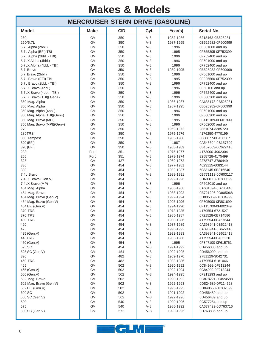#### 260 GM 350 V-8 1982-1986 6218462-0B525981 260/5.7L GM 350 V-8 1987-1995 0B525982-0F600999 5.7L Alpha (2bbl.) **GM** GM 350 V-8 1996 0F601000 and up 5.7L Alpha (EFI) TBI GM 350 V-8 1995 0F355305-0F752399 5.7L Alpha (2bbl. - TBI) **GM** GM 350 V-8 1996 0F752400 and up 5.7LX Alpha (4bbl.) | GM | 350 | V-8 | 1996 | 0F601000 and up 5.7LX Alpha (4bbl. - TBI) | GM | 350 | V-8 | 1996 | 0F752400 and up 5.7l Bravo GM 350 V-8 1989-1995 0B525982-0F600999 5.7l Bravo (2bbl.) **GM** GM 350 V-8 1996 0F601000 and up 5.7L Bravo (EFI) TBI GM 350 V-8 1995 0F225560-0F752399 5.7L Bravo (2bbl. - TBI) **GM** GM 350 V-8 1996 0F752400 and up 5.7LX Bravo (4bbl.) GM 350 V-8 1996 0F60100 and up 5.7LX Bravo (4bbl. - TBI) GM 350 V-8 1996 0F752400 and up 5.7LX Bravo (TBI)( Gen+) GM 6 350 V-8 1996 0F800300 and up 350 Mag. Alpha GM 350 V-8 1986-1987 0A635178-0B525981 350 Mag. Alpha GM 350 V-8 1987-1995 0B525982-0F600999 350 Mag. Alpha (4bbl.) **GM** GM 350 V-8 1996 6F601000 and up 350 Mag. Alpha (TBI)(Gen+) GM 350 V-8 1996 0F800300 and up 350 Mag. Bravo (MPI) GM 350 V-8 1995 0F415189-0F601999 350 Mag. Bravo (MPI)(Gen+) GM 350 V-8 1996 0F602000 and up 270 GM 350 V-8 1969-1972 2851074-3385720 280TRS GM 350 V-8 1975-1976 4176250-4770199 300 Tempest GM 350 V-8 1985-1986 6668677-0B430367 320 (EFI) GM 350 V-8 1987 0A543604-0B157602 320 (EFI) GM 350 V-8 1988-1989 0B157603-0C622418 233 Ford 351 V-8 1975-1977 4173000-4902304 255 Ford 351 V-8 1973-1974 3258728-4175499 325 GM 427 V-8 1969-1972 2278747-3780449 330 GM 454 V-8 1977-1981 4623115-6083144 330 GM GM 454 V-8 1982-1987 6083145-0B816540 7.4L Bravo GM 454 V-8 1988-1991 0B771113-0D603117 7.4LX Bravo (Gen.V) GM 454 V-8 1992-1996 0D603118-0F800699 7.4LX Bravo (MP) GM 454 V-8 1996 0F602010 and up 454 Mag. Alpha GM 454 V-8 1986-1988 0A631894-0B785148 454 Mag. Bravo GM 454 V-8 1988-1992 0B721206-0D805068 454 Mag. Bravo (Gen.V) GM 454 V-8 1992-1994 0D805069-0F304999 454 Mag. Bravo (Gen.V) GM 454 V-8 1995-1996 0F305000-0F801699 454 EFI (Gen.V) GM 454 V-8 1994-1996 0F115700-0F802349 370 TRS GM 454 V-8 1978-1985 4179554-6721527 370 TRS GM 454 V-8 1985-1987 6721528-0B714586 400 TRS GM 454 V-8 1980-1986 4179554-0B457644 420 GM 454 V-8 1987-1989 0A398941-0B622418 425 GM 454 V-8 1990-1992 0A398941-0B622418 425 (Gen.V) GM 454 V-8 1992-1993 0A398941-0B622418 440TRS GM 454 V-8 1983-1986 4179554-0B485220 450 (Gen.V) GM 454 V-8 1995 0F347100-0F615761 525 SC **GM** GM 454 V-8 1991-1992 0D456000 and up 525 SC (Gen.V) **GM** GM 454 V-8 1992-1995 0D456000 and up 390 GM 482 V-8 1969-1970 2781129-3042731 460 TRS GM 482 V-8 1983-1986 4179554-6181046 465 GM 502 V-8 1990-1992 0C84992-0F213244 465 (Gen.V) GM 502 V-8 1992-1994 0C84992-0F213244 500 (Gen.V) **GM** GM 502 V-8 1994-1995 0F213293 and up 502 Mag. Bravo GM 502 V-8 1990-1992 0C878221-0D824588 502 Mag. Bravo (Gen.V) GM 502 V-8 1992-1993 0D824589-0F114528 502 EFI (Gen.V) GM 502 V-8 1993-1995 0D840650-0F802599 600 SC **GM** GM 502 V-8 1991-1992 0D456489 and up 600 SC (Gen.V) **GM** GM 502 V-8 1992-1996 0D456489 and up 500 GM GM 540 V-8 1990-1996 0C577254 and up 575 GM 540 V-8 1986-1992 0A677429-0D763716 800 SC (Gen.V) **GM** GM 572 V-8 1993-1996 0D763836 and up **MERCRUISER STERN DRIVE (GASOLINE) Model Make CID Cyl. Year(s) Serial No.**

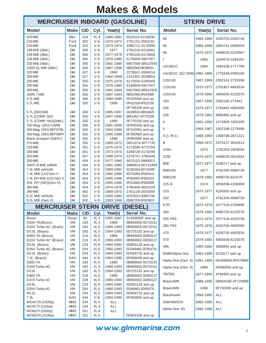| <b>MERCRUISER INBOARD (GASOLINE)</b>            |                            |            | <b>STERN DRIVE</b> |                        |                                        |                               |           |                   |
|-------------------------------------------------|----------------------------|------------|--------------------|------------------------|----------------------------------------|-------------------------------|-----------|-------------------|
| <b>Model</b>                                    | <b>Make</b>                | <b>CID</b> | Cyl.               | Year(s)                | Serial No.                             | <b>Model</b>                  | Year(s)   | Serial No.        |
| 470 MIE                                         | Mer.                       | 224        | I/L4               | 1980-1981              | 5520115-6218036                        | 60                            | 1965-1966 | 1830753-2063740   |
| 215 MIE<br><b>225 MIE</b>                       | Ford<br>Ford               | 302<br>302 | $V-8$<br>$V-8$     | 1970-1972<br>1973-1974 | 2781153-3563181<br>3385721-4176999     | 80                            | 1966-1969 | 2063741-2898029   |
| 198 MIE (2bbl.)                                 | <b>GM</b>                  | 305        | $V-8$              | 1977                   | 4762210-6218461                        | 90                            | 1970-1972 |                   |
| 228 MIE (4bbl.)                                 | <b>GM</b>                  | 305        | $V-8$              | 1977-1978              | 4765100-5170008                        |                               |           | 2898030-3225967   |
| 228 MIE (4bbl.)<br>230 MIE (4bbl.)              | <b>GM</b><br><b>GM</b>     | 305<br>305 | $V-8$<br>$V-8$     | 1979-1980<br>1981-1986 | 5170009-5907057<br>5907058-0B522505    |                               | 1963      | 1534570-1684187   |
| 230/5.0L MIE (4bbl.)                            | <b>GM</b>                  | 305        | $V-8$              | 1987-1995              | 0B522506-0B788151                      | 1A/1B/1C                      | 1964      | 1684188-1777798   |
| <b>225 MIE</b><br><b>250 MIE</b>                | <b>GM</b><br><b>GM</b>     | 327<br>327 | $V-8$<br>$V-8$     | 1968<br>1968-1969      | 2278647-2694014<br>2314301-2639854     | 1A/1B/1C (EZ-Shift) 1965-1966 |           | 1776349-2065189   |
| 255 MIE                                         | <b>GM</b>                  | 350        | $V-8$              | 1975-1978              | 4175500-5195908                        | 120/140                       | 1967-1969 | 2062141-2791956   |
| 255 MIE                                         | <b>GM</b>                  | 350        | $V-8$              | 1979-1980              | 5195909-5907057                        | 120/140                       | 1970-1977 | 2791957-4893634   |
| 260 MIE<br>260/5.7 MIE                          | <b>GM</b><br><b>GM</b>     | 350<br>350 | $V-8$<br>$V-8$     | 1981-1986<br>1987-1993 | 5907058-0B522505<br>0B522506-0F024999  | 120/140                       | 1978-1982 | 4893635-6225576   |
| 5.7L MIE                                        | <b>GM</b>                  | 350        | $V-8$              | 1994-1995              | 0F025000 and up                        |                               |           |                   |
| 5.7L MIE                                        | <b>GM</b>                  | 350        | $V-8$              | 1996                   | 0F622100-0F622150                      | 160                           | 1967-1969 | 2065190-273441    |
| 5.7L (SKI) MIE                                  | <b>GM</b>                  | 350        | $V-8$              | 1985-1987              | 0F746100 and up<br>0A338533-0B514626   | 165                           | 1970-1977 | 2763442-4890459   |
| 5.7L (COMP. SKI)                                | <b>GM</b>                  | 350        | $V-8$              | 1987-1995              | 0B514627-0F775199                      | 165                           | 1978-1981 | 4890460 and up    |
| 5.7L (COMP. SKI)(2bbl.)                         | <b>GM</b>                  | 350        | $V-8$              | 1996                   | 0F775200 and up                        | $\mathbb{I}$                  | 1962-1963 | 1474909-1602185   |
| 350 Mag. (SKI) CARB<br>350 Mag. (SKI) 9EFI)TBI  | <b>GM</b><br><b>GM</b>     | 350<br>350 | $V-8$<br>$V-8$     | 1991-1995<br>1994-1996 | 0D505450 and up<br>0F215561 and up     | Ш                             | 1964-1967 | 1602186-2278488   |
| 350 Mag. (SKI) 9EFI)MPI                         | <b>GM</b>                  | 350        | $V-8$              | 1995-1996              | 0F350583 and up                        | II(1.78:1)                    | 1968-1969 | 2398798-2671321   |
| Black Scorpion (GEN+)                           | <b>GM</b>                  | 350        | $V-8$              | 1996                   | 0F800000 and up                        |                               |           |                   |
| 270 MIE<br>233 MIE                              | <b>GM</b><br><b>GM</b>     | 350<br>351 | $V-8$<br>$V-8$     | 1969-1972<br>1975-1976 | 2851074-3077735<br>4173000-4775784     | Ш                             | 1968-1972 | 2373127-3002613   |
| 255 MIE                                         | <b>GM</b>                  | 351        | $V-8$              | 1973-1974              | 3258728-4178299                        | 215H                          | 1970      | 2782203-2909034   |
| 325 MIE                                         | <b>GM</b>                  | 427        | $V-8$              | 1968-1974              | 2278747-3780449                        | 215E                          | 1970-1972 | 2909035-2915034   |
| 330 MIE<br>340/7.4l MIE w/B/W                   | <b>GM</b><br><b>GM</b>     | 454<br>454 | $V-8$<br>$V-8$     | 1977-1980<br>1981-1992 | 4623115-5889913<br>5889914-0D715493    | 888                           | 1971-1977 | 3106717 and up    |
| 7.4L MIE w/Hurth                                | <b>GM</b>                  | 454        | $V-8$              | 1989-1992              | 0C391564-0D715493                      | 898/228                       | 1977      | 4782330-4898729   |
| 7.4L MIE (LH) Gen.V                             | <b>GM</b>                  | 454        | $V-8$              | 1992-1996              | 0D715494-0F820141                      | 898/228                       | 1978-1982 | 4898730-622576    |
| 7.4L EFI MIE (LH) Gen.V<br>454 EFI (SKI)(Gen.V) | <b>GM</b><br><b>GM</b>     | 454<br>454 | $V - 8$<br>$V-8$   | 1995-1996<br>1995-1996 | 0F563052-0F820103<br>0F215800-0F820099 |                               |           |                   |
| 350 MIE                                         | <b>GM</b>                  | 454        | $V-8$              | 1974-1976              | 3780450-4623109                        | $225-S$                       | 1974      | 3856268-4200499   |
| 390 MIE                                         | <b>GM</b>                  | 482        | $V-8$              | 1969-1970              | 2781129-2825059                        | 233                           | 1975-1977 | 4200500 and up    |
| 8.2L MIE w/Hurth<br>8.2L MIE (Gen.V)            | <b>GM</b><br><b>GM</b>     | 502<br>502 | $V-8$<br>$V-8$     | 1990-1992<br>1993-1996 | 0C878221-0D857199<br>0D857200-0F819619 | 250                           | 1977      | 4791300-4898729   |
| <b>MERCRUISER STERN</b>                         |                            |            |                    | <b>DRIVE</b>           | <b>DIESEL)</b>                         | $II-TR$                       | 1973-1976 | 3377316-4794899   |
| <b>Model</b>                                    | <b>Make</b>                | <b>CID</b> | Cyl.               | Year(s)                | Serial No.                             | 260                           | 1978-1982 | 4898730-6225576   |
| Rover                                           | Rover                      | 60         | I/L4               | 1965-1967              | 31400000F and up                       | 255-TRS                       | 1973-1974 | 3377316-4203749   |
| 530D-TA(Bravo)<br>D183 Turbo AC (Bravo)         | <b>VM</b><br>VM            | 183<br>183 | $I/L$ 5<br>$I/L$ 5 | 1989<br>1990-1993      | 0B993002-0D725151<br>0B993002-0D725151 | 280-TRS                       | 1975-1976 | 4203750-4895399   |
| D3.0L (Bravo)                                   | VM                         | 183        | $I/L$ 5            | 1994-1995              | 0D725152 and up                        | 470                           | 1976-1977 | 4208730-4893934   |
| 636D-TA (Bravo)                                 | VM                         | 219        | I/L6               | 1989                   | 0B993002-0D850127                      |                               |           |                   |
| D219 Turbo AC (Bravo)<br>D3.6L (Bravo)          | VM<br>VM                   | 219<br>219 | I/L6<br>$I/L$ 6    | 1990-1993<br>1994-1995 | 0B993002-0D850127<br>0D850128 and up   | 470                           | 1978-1882 | 4893835-6225576   |
| D254 Turbo AC (Bravo)                           | VM                         | 254        | I/L6               | 1990-1993              | 0C849461-0D554731                      | 485                           | 1980-1982 | 4893835 and up    |
| D4.2L (Bravo)                                   | VM                         | 254        | I/L6               | 1994-1995              | 0D554732 and up                        | R/MR/Alpha One                | 1983-1990 | 6225577 and up    |
| 7.3L (Bravo)<br>530D-TA                         | NAV<br>VM                  | 444<br>183 | $V-8$<br>$I/L$ 5   | 1994-1995<br>1989      | 0F060048 and up<br>0B993002-0D725151   | Alpha One (Gen. II)           | 1991-1995 | 0D469859-0F679999 |
| D183 Turbo AC                                   | VM                         | 183        | $I/L$ 5            | 1990-1993              | 0B993002-0D725151                      | Alpha One (Gen. II)           | 1996      | 0F680000 and up   |
| D3.0L                                           | <b>VM</b>                  | 183        | $I/L$ 5            | 1994-1995              | 0D725152 and up                        | <b>TR/TRS</b>                 | 1977-1993 | 4794900 and up    |
| 636D-TA<br>D219 Turbo AC                        | VM<br>VM                   | 219<br>219 | I/L6<br>$I/L$ 6    | 1989<br>1990-1993      | 0B993002-0D850127<br>0B993002-0D850127 |                               |           |                   |
| D3.6L                                           | <b>VM</b>                  | 219        | I/L6               | 1994-1995              | 0D850128 and up                        | Bravo I/II/III                | 1988-1995 | 0B664190-0F729999 |
| D254 Turbo AC                                   | VM                         | 254        | $I/L$ 6            | 1990-1993              | 0C849461-0D554731                      | Bravo I/II/III                | 1996      | 0F730000 and up   |
| D4.2L<br>7.3L                                   | <b>VM</b><br><b>NAV</b>    | 254<br>444 | I/L6<br>$V-8$      | 1994-1995<br>1994-1995 | 0D554732 and up<br>0F060000 and up     | <b>Blackhawk</b>              | 1994-1995 | ALL               |
| WO4CTA (150hp)                                  | <b>HINO</b>                | 234        | $I/L$ 4            | ALL                    |                                        | SSM II/III/IV/V               | 1982-1995 | ALL               |
| WO4CTI (210hp)                                  | <b>HINO</b><br><b>HINO</b> | 234<br>351 | $I/L$ 4            | ALL                    |                                        | Alpha One SS                  | 1986-1989 | ALL               |
| WO6DTI (250hp)<br>WO6DTA (310hp)                | <b>HINO</b>                | 351        | I/L6<br>I/L6       | ALL                    | 0D854106 and up                        |                               |           |                   |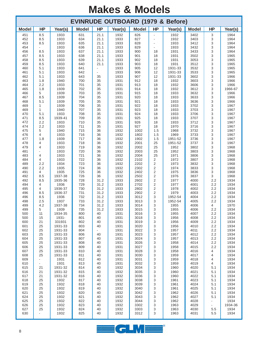| <b>EVINRUDE OUTBOARD (1979 &amp; Before)</b> |                               |                    |              |                                |              |              |                          |                    |              |                                 |                 |
|----------------------------------------------|-------------------------------|--------------------|--------------|--------------------------------|--------------|--------------|--------------------------|--------------------|--------------|---------------------------------|-----------------|
| <b>Model</b>                                 | <b>HP</b>                     | Year(s)            | <b>Model</b> | <b>HP</b>                      | Year(s)      | <b>Model</b> | <b>HP</b>                | Year(s)            | <b>Model</b> | <b>HP</b>                       | Year(s)         |
| 451                                          | 8.5                           | 1933               | 631          | 21.1                           | 1932         | 826          |                          | 1932               | 3402         | 3                               | 1964            |
| 452<br>453                                   | 8.5<br>8.5                    | 1933<br>1933       | 634<br>635   | 21.1<br>21.1                   | 1933<br>1933 | 827<br>828   |                          | 1932<br>1933       | 3403<br>3412 | 3<br>3                          | 1964<br>1964    |
| 454                                          |                               | 1933               | 636          | 21.1                           | 1933         | 829          | $\overline{\phantom{a}}$ | 1933               | 3432         | 3                               | 1964            |
| 456<br>457                                   | 8.5<br>8.5                    | 1933<br>1933       | 637<br>638   | 21.1<br>21.1                   | 1933<br>1933 | 900<br>901   | 18<br>18                 | 1931<br>1931       | 3433<br>3502 | 3<br>3                          | 1964<br>1965    |
| 458                                          | 8.5                           | 1933               | 639          | 21.1                           | 1933         | 902          | 18                       | 1931               | 3053         | 3                               | 1965            |
| 459                                          | 8.5                           | 1933               | 640          | 21.1                           | 1933         | 903          | 18                       | 1931               | 3512         | 3                               | 1965            |
| 460<br>461                                   | 5.1<br>5.1                    | 1933<br>1933       | 641<br>642   | $\omega$                       | 1933<br>1933 | 905<br>906   | 12<br>12                 | 1931-33<br>1931-33 | 3532<br>3533 | 3<br>3                          | 1965<br>1965    |
| 462                                          | 5.1                           | 1933               | 643          | 35                             | 1933         | 907          | 12                       | 1931-33            | 3602         | 3                               | 1966            |
| 463                                          | 1.8                           | 1940               | 700          | 35                             | 1931         | 912          | 18                       | 1932               | 3603         | 3                               | 1966            |
| 464<br>465                                   | 2.2<br>1.8                    | 1933<br>1939       | 701<br>702   | 35<br>35                       | 1931<br>1931 | 913<br>914   | 18<br>18                 | 1932<br>1932       | 3606<br>3612 | 3<br>3                          | 1966<br>1966-67 |
| 466                                          | 5                             | 1939               | 703          | 35                             | 1931         | 915          | 18                       | 1933               | 3632         | 3                               | 1966            |
| 467                                          | 8.5                           | 1939               | 704          | 35                             | 1931         | 920          | 18                       | 1933               | 3633         | 3                               | 1966            |
| 468<br>469                                   | 5.1<br>1                      | 1939<br>1939       | 705<br>706   | 35<br>35                       | 1931<br>1931 | 921<br>922   | 18<br>18                 | 1933<br>1933       | 3636<br>3702 | 3<br>3                          | 1966<br>1967    |
| 469                                          | 1                             | 1940               | 707          | 35                             | 1931         | 923          | 18                       | 1933               | 3703         | 3                               | 1967            |
| 470                                          | 5.1                           | 1933               | 708          | 35                             | 1931         | 924          | 18                       | 1933               | 3706         | 3                               | 1967            |
| 471<br>472                                   | 8.5<br>2.2                    | 1939-41<br>1933    | 709<br>710   | 35<br>35                       | 1931<br>1931 | 925<br>926   | 18<br>18                 | 1933<br>1933       | 3707<br>3712 | 3<br>3                          | 1967<br>1967    |
| 474                                          | 2.2                           | 1933               | 711          | 35                             | 1931         | 927          | 18                       | 1970               | 3716         | 3                               | 1967            |
| 475<br>476                                   | 5<br>4                        | 1940<br>1933       | 715<br>716   | 36<br>36                       | 1932<br>1932 | 1002<br>1802 | 1.5<br>1.5               | 1968<br>1969       | 3732<br>3733 | 3<br>3                          | 1967<br>1967    |
| 477                                          | 1.8                           | 1939               | 717          | 36                             | 1932         | 1902         | 1.5                      | 1951-52            | 3736         | 3                               | 1967            |
| 478                                          | 4                             | 1933               | 718          | 36                             | 1932         | 2001         | 25                       | 1951-52            | 3737         | 3                               | 1967            |
| 479<br>481                                   | 4<br>$\overline{\phantom{a}}$ | 1933<br>1933       | 719<br>720   | 36<br>36                       | 1932<br>1932 | 2002<br>2003 | 25<br>25                 | 1952<br>1952       | 3802<br>3803 | 3<br>3                          | 1968<br>1968    |
| 483                                          | 4                             | 1933               | 721          | 36                             | 1932         | 2004         | 25                       | 1971               | 3806         | 3                               | 1968            |
| 484                                          | 4                             | 1933               | 722          | 36                             | 1932         | 2102         | 2                        | 1972               | 3807         | 3                               | 1968            |
| 489<br>490                                   | 2.2<br>2.2                    | 1934<br>1935       | 723<br>724   | 36<br>36                       | 1932<br>1932 | 2202<br>2302 | 2<br>2                   | 1973<br>1974       | 3832<br>3833 | 3<br>3                          | 1968<br>1968    |
| 491                                          | 4                             | 1935               | 725          | 36                             | 1932         | 2402         | 2                        | 1975               | 3836         | 3                               | 1968            |
| 492                                          | 8.5                           | 1937-38            | 726          | 36                             | 1932         | 2502         | $\overline{c}$           | 1976               | 3837         | 3                               | 1968            |
| 492<br>494                                   | 8.5<br>4                      | 1935-36<br>1936    | 728<br>729   | 31.2<br>31.2                   | 1933<br>1933 | 2602<br>2702 | 2<br>$\overline{2}$      | 1977<br>1977       | 4000<br>4001 | 2.2<br>2.2                      | 1934<br>1934    |
| 495                                          | 4                             | 1936-37            | 730          | 31.2                           | 1933         | 2802         | 2                        | 1978               | 4002         | 2.2                             | 1934            |
| 496<br>496                                   | 8.5<br>8.5                    | 1936-37<br>1936    | 731<br>732   | 31.2<br>31.2                   | 1933<br>1933 | 2902<br>3012 | $\overline{2}$<br>3      | 1979<br>1952-54    | 4003<br>4004 | 2.2<br>2.2                      | 1934<br>1934    |
| 498                                          | 2.5                           | 1937               | 733          | 31.2                           | 1933         | 3013         | 3                        | 1952-54            | 4005         | 2.2                             | 1934            |
| 499                                          | 4.2                           | 1937-38            | 734          | 31.2                           | 1933         | 3014         | 3                        | 1955               | 4006         | 4                               | 1970            |
| 499<br>500                                   | 5<br>11                       | 1939<br>1934-35    | 735<br>800   | 31.2<br>40                     | 1933<br>1931 | 3015<br>3016 | 3<br>3                   | 1955<br>1955       | 4006<br>4007 | 2.2<br>2.2                      | 1934<br>1934    |
| 500                                          | 15                            | 1931-              | 801          | 40                             | 1931         | 3018         | 3                        | 1956               | 4008         | 2.2                             | 1934            |
| 600                                          | 21                            | 331931             | 802          | 40                             | 1931         | 3019         | 3                        | 1956               | 4009         | 2.2                             | 1934            |
| 601<br>602                                   | 25<br>25                      | 1931-33<br>1931-33 | 803<br>804   | 40<br>$\overline{\phantom{0}}$ | 1931<br>1931 | 3020<br>3022 | 3<br>3                   | 1956<br>1957       | 4010<br>4011 | $2.2\,$<br>2.2                  | 1934<br>1934    |
| 603                                          | 25                            | 1931-33            | 806          | 40                             | 1931         | 3023         | 3                        | 1957               | 4012         | $2.2\,$                         | 1934            |
| 604                                          | 25                            | 1931-33            | 807          | 40                             | 1931         | 3024         | 3                        | 1957               | 4013         | $2.2\,$                         | 1934            |
| 605<br>606                                   | 25<br>25                      | 1931-33<br>1931-33 | 808<br>809   | 40<br>40                       | 1931<br>1931 | 3026<br>3027 | 3<br>3                   | 1958<br>1958       | 4014<br>4015 | $2.2\,$<br>$2.2\,$              | 1934<br>1934    |
| 607                                          | 25                            | 1931-33            | 810          | 40                             | 1931         | 3028         | 3                        | 1958               | 4016         | 4                               | 1934            |
| 608<br>609                                   | 25<br>۰                       | 1931-33<br>1931    | 811<br>812   | 40<br>40                       | 1931<br>1931 | 3030<br>3031 | 3<br>3                   | 1959<br>1959       | 4017<br>4018 | 4<br>4                          | 1934<br>1934    |
| 610                                          | $\blacksquare$                | 1931               | 813          | 40                             | 1931         | 3032         | 3                        | 1959               | 4019         | 4                               | 1934            |
| 615                                          | 21                            | 1931-32            | 814          | 40                             | 1932         | 3034         | 3                        | 1960               | 4020         | 5.1                             | 1934            |
| 616<br>617                                   | 21<br>21                      | 1931-32<br>1931-32 | 815<br>816   | 40<br>40                       | 1932<br>1932 | 3035<br>3036 | 3<br>3                   | 1960<br>1960       | 4021<br>4022 | 5.1<br>5.1                      | 1934<br>1934    |
| 618                                          | 25                            | 1932               | 817          | 40                             | 1932         | 3038         | 3                        | 1961               | 4023         | 5.1                             | 1934            |
| 619                                          | 25                            | 1932               | 818          | 40                             | 1932         | 3039         | 3                        | 1961               | 4024         | 5.1                             | 1934            |
| 620<br>621                                   | 25<br>25                      | 1932<br>1932       | 819<br>820   | 40<br>40                       | 1932<br>1932 | 3040<br>3042 | 3<br>3                   | 1961<br>1962       | 4025<br>4026 | 5.1<br>5.1                      | 1934<br>1934    |
| 624                                          | 25                            | 1932               | 821          | 40                             | 1932         | 3043         | 3                        | 1962               | 4027         | 5.1                             | 1934            |
| 625                                          | 25                            | 1932               | 822          | 40                             | 1932         | 3044         | 3                        | 1962               | 4028         | $\overline{\phantom{a}}$        | 1934            |
| 626<br>627                                   | 25<br>25                      | 1932<br>1932       | 823<br>824   | 40<br>40                       | 1932<br>1932 | 3302<br>3303 | 3<br>3                   | 1963<br>1963       | 4029<br>4030 | $\overline{\phantom{a}}$<br>5.5 | 1934-36<br>1934 |
| 630                                          |                               | 1932               | 825          | 40                             | 1932         | 3312         | 3                        | 1963               | 4031         | 5.5                             | 1934            |

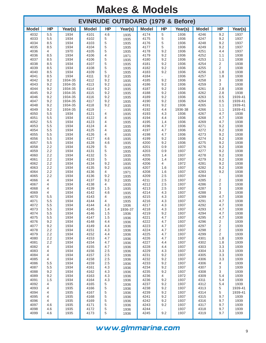| <b>EVINRUDE OUTBOARD (1979 &amp; Before)</b> |            |                    |              |            |              |              |            |              |              |                |                 |
|----------------------------------------------|------------|--------------------|--------------|------------|--------------|--------------|------------|--------------|--------------|----------------|-----------------|
| <b>Model</b>                                 | <b>HP</b>  | Year(s)            | <b>Model</b> | <b>HP</b>  | Year(s)      | <b>Model</b> | <b>HP</b>  | Year(s)      | <b>Model</b> | <b>HP</b>      | Year(s)         |
| 4032<br>4033                                 | 5.5<br>5.5 | 1934<br>1934       | 4101<br>4102 | 4.6<br>5   | 1935<br>1935 | 4174<br>4175 | 5<br>5     | 1936<br>1936 | 4246<br>4247 | 9.2<br>9.2     | 1937<br>1937    |
| 4034                                         | 8.5        | 1934               | 4103         | 5          | 1935         | 4176         | 5          | 1936         | 4248         | 9.2            | 1937            |
| 4035<br>4036                                 | 8.5<br>4   | 1934<br>1970       | 4104<br>4105 | 5<br>5     | 1935<br>1935 | 4177<br>4178 | 5<br>9.2   | 1936<br>1936 | 4249<br>4251 | 9.2<br>4.4     | 1937<br>1937    |
| 4036                                         | 8.5        | 1934               | 4106         | 4          | 1971         | 4179         | 9.2        | 1936         | 4252         | 1.1            | 1938            |
| 4037                                         | 8.5        | 1934               | 4106         | 5          | 1935         | 4180         | 9.2        | 1936         | 4253         | 1.1            | 1938            |
| 4038                                         | 8.5        | 1934               | 4107         | 5          | 1935         | 4181         | 9.2        | 1936         | 4254         | $\overline{2}$ | 1938            |
| 4039<br>4040                                 | 8.5<br>8.5 | 1934<br>1934       | 4108<br>4109 | 5<br>5     | 1935<br>1935 | 4182<br>4183 | 9.2<br>9.2 | 1936<br>1936 | 4255<br>4256 | 2<br>1.8       | 1938<br>1938    |
| 4041                                         | 8.5        | 1934               | 4111         | 9.2        | 1935         | 4184         |            | 1936         | 4257         | 1.8            | 1938            |
| 4042                                         | 9.2        | 1934-35            | 4112         | 9.2        | 1935         | 4185         | 9.2        | 1936         | 4258         | 3              | 1938            |
| 4043                                         | 9.2        | 1934-35            | 4113         | 9.2        | 1935         | 4186         | 9.2        | 1936         | 4259         | 3              | 1938            |
| 4044                                         | 9.2        | 1934-35            | 4114         | 9.2        | 1935         | 4187         | 9.2        | 1936         | 4261         | 2.8            | 1938            |
| 4045<br>4046                                 | 9.2<br>9.2 | 1934-35<br>1934-35 | 4115<br>4116 | 9.2<br>9.2 | 1935<br>1935 | 4188<br>4189 | 9.2<br>9.2 | 1936<br>1936 | 4262<br>4263 | 2.8<br>0.5     | 1938<br>1939-41 |
| 4047                                         | 9.2        | 1934-35            | 4117         | 9.2        | 1935         | 4190         | 9.2        | 1936         | 4264         | 0.5            | 1939-41         |
| 4048                                         | 9.2        | 1934-35            | 4118         | 9.2        | 1935         | 4191         | 9.2        | 1936         | 4265         | 1.1            | 1939-41         |
| 4049                                         | 9.2        | 1934-35            | 4119         |            | 1935         | 4192         | 4.4        | 1936-38      | 4266         | 1.1            | 1939-41         |
| 4050                                         | 5.5        | 1934               | 4121         | 4          | 1935         | 4193         | 4.3        | 1936         | 4267         | 4.7            | 1938            |
| 4051<br>4052                                 | 5.5<br>5.5 | 1934<br>1934       | 4122<br>4123 | 4<br>4     | 1935         | 4194<br>4195 | 4.4<br>1.4 | 1936<br>1936 | 4268<br>4269 | 4.7<br>4.7     | 1938<br>1938    |
| 4053                                         | 5.5        | 1934               | 4124         | 4          | 1935<br>1935 | 4196         | 4.7        | 1936         | 4271         | 9.2            | 1938            |
| 4054                                         | 5.5        | 1934               | 4125         | 4          | 1935         | 4197         | 4.7        | 1936         | 4272         | 9.2            | 1938            |
| 4055                                         | 5.5        | 1934               | 4126         | 4          | 1935         | 4198         | 4.7        | 1936         | 4273         | 9.2            | 1938            |
| 4056                                         | 5.5        | 1934               | 4127         | 4.6        | 1935         | 4199         | 9.2        | 1936         | 4274         | 9.2            | 1938            |
| 4057<br>4058                                 | 5.5<br>2.2 | 1934<br>1934       | 4128<br>4129 | 4.6<br>5   | 1935         | 4200<br>4201 | 9.2<br>0.9 | 1936<br>1937 | 4275<br>4276 | 9.2<br>9.2     | 1938<br>1938    |
| 4059                                         | 2.2        | 1934               | 4131         | 5          | 1935<br>1935 | 4203         | 0.9        | 1937         | 4277         | 9.2            | 1938            |
| 4060                                         | 2.2        | 1934               | 4132         | 5          | 1935         | 4205         | 1.4        | 1937         | 4278         | 9.2            | 1938            |
| 4061                                         | 2.2        | 1934               | 4133         | 5          | 1935         | 4206         | 1.4        | 1937         | 4279         | 9.2            | 1938            |
| 4062                                         | 2.2        | 1934               | 4134         | 9.2        | 1935         | 4206         | 4          | 1972         | 4281         | 9.2            | 1938            |
| 4063<br>4064                                 | 2.2<br>2.2 | 1934<br>1934       | 4135<br>4136 | 9.2<br>4   | 1935         | 4207<br>4208 | 1.6<br>1.6 | 1937<br>1937 | 4282         | 9.2<br>9.2     | 1938<br>1938    |
| 4065                                         | 2.2        | 1934               | 4136         | 9.2        | 1971<br>1935 | 4209         | 2.5        | 1937         | 4283<br>4284 |                | 1938            |
| 4066                                         | 4          | 1934               | 4137         | 9.2        | 1935         | 4211         | 2.5        | 1937         | 4285         | $\overline{2}$ | 1938            |
| 4067                                         | 4          | 1934               | 4138         | 4          | 1935         | 4212         | 2.5        | 1937         | 4286         | $\mathbf 2$    | 1938            |
| 4068                                         | 4          | 1934               | 4139         | 1.5        | 1935         | 4213         | 2.5        | 1937         | 4287         | 3              | 1938            |
| 4069<br>4070                                 | 4<br>5.5   | 1934<br>1934       | 4142<br>4143 | 4.6<br>4   | 1935         | 4214<br>4215 | 4.3<br>4.3 | 1937<br>1937 | 4288<br>4289 | 3<br>4.7       | 1938<br>1938    |
| 4071                                         | 5.5        | 1934               | 4144         | 4          | 1935<br>1935 | 4216         | 4.3        | 1937         | 4291         | 4.7            | 1938            |
| 4072                                         | 5.5        | 1934               | 4144         | 4.3        | 1936         | 4217         | 4.3        | 1937         | 4292         | 4.7            | 1938            |
| 4073                                         | 5.5        | 1934               | 4145         | 1.4        | 1936-37      | 4218         | 4.3        | 1937         | 4293         | 4.7            | 1938            |
| 4074                                         | 5.5        | 1934               | 4146         | 1.5        | 1936         | 4219         | 9.2        | 1937         | 4294         | 4.7            | 1938            |
| 4075<br>4076                                 | 5.5<br>9.2 | 1934<br>1934       | 4147<br>4148 | 1.5<br>4.4 | 1936         | 4221<br>4222 | 4.7<br>4.7 | 1937<br>1937 | 4295<br>4296 | 4.7<br>2       | 1938<br>1939    |
| 4077                                         | 9.2        | 1934               | 4149         | 4.4        | 1936<br>1936 | 4223         | 4.7        | 1937         | 4297         | 2              | 1939            |
| 4078                                         | 2.2        | 1934               | 4151         | 4.3        | 1936         | 4224         | 4.7        | 1937         | 4298         | $\overline{c}$ | 1939            |
| 4079                                         | $2.2\,$    | 1934               | 4152         | 4.4        | 1936         | 4225         | 4.7        | 1937         | 4299         | 2              | 1939            |
| 4080                                         | $2.2\,$    | 1934               | 4153         | 4.7        | 1936         | 4226         | 4.7        | 1937         | 4301         | 1.8            | 1939            |
| 4081<br>4082                                 | 2.2<br>4   | 1934<br>1934       | 4154<br>4155 | 4.7<br>4.7 | 1936<br>1936 | 4227<br>4228 | 4.4<br>4.4 | 1937<br>1937 | 4302<br>4303 | 1.8<br>3.3     | 1939<br>1939    |
| 4083                                         | 4          | 1934               | 4156         | 2.5        | 1936         | 4229         | 4.3        | 1937         | 4304         | 3.3            | 1939            |
| 4084                                         | 4          | 1934               | 4157         | 2.5        | 1936         | 4231         | 9.2        | 1937         | 4305         | 3.3            | 1939            |
| 4085                                         | 4          | 1934               | 4158         | 2.5        | 1936         | 4232         | 9.2        | 1937         | 4306         | 3.3            | 1939            |
| 4086                                         | 5.5        | 1934               | 4159         | 2.5        | 1936         | 4233         | 9.2        | 1937         | 4306         | 4              | 1939            |
| 4087<br>4088                                 | 5.5<br>9.2 | 1934<br>1934       | 4161<br>4162 | 4.3<br>4.3 | 1936<br>1936 | 4234<br>4235 | 9.2<br>9.2 | 1937<br>1937 | 4307<br>4308 | 3<br>3         | 1939<br>1939    |
| 4089                                         | 9.2        | 1934               | 4163         | 4.3        | 1936         | 4236         | 4          | 1972         | 4309         | 5.4            | 1939            |
| 4091                                         | 1.5        | 1934               | 4164         | 4.3        | 1936         | 4236         | 9.2        | 1937         | 4311         | 5.4            | 1939            |
| 4092                                         | 4          | 1935               | 4165         | 5          | 1936         | 4237         | 9.2        | 1937         | 4312         | 5.4            | 1939            |
| 4093                                         | 4          | 1935               | 4166         | 5          | 1936         | 4238         | 9.2        | 1937         | 4313         | 5              | 1939-41         |
| 4094<br>4095                                 | 4<br>4     | 1935<br>1935       | 4167<br>4168 | 5<br>5     | 1936         | 4239<br>4241 | 9.2<br>9.2 | 1937<br>1937 | 4314<br>4315 | 5<br>9.7       | 1939-41<br>1939 |
| 4096                                         | 4          | 1935               | 4169         | 5          | 1936<br>1936 | 4242         | 9.2        | 1937         | 4316         | 9.7            | 1939            |
| 4097                                         | 4.6        | 1935               | 4171         | 5          | 1936         | 4243         | 9.2        | 1937         | 4317         | 9.7            | 1939            |
| 4098                                         | 4.6        | 1935               | 4172         | 5          | 1936         | 4244         |            | 1937         | 4318         | 9.7            | 1939            |
| 4099                                         | 4.6        | 1935               | 4173         | 5          | 1936         | 4245         | 9.2        | 1937         | 4319         | 9.7            | 1939            |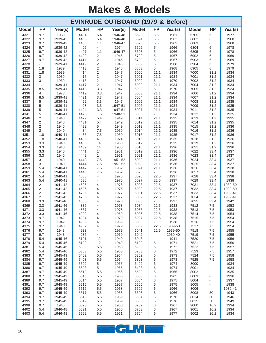| <b>EVINRUDE OUTBOARD (1979 &amp; Before)</b> |                              |                    |              |                     |                    |              |                |                 |              |               |                 |
|----------------------------------------------|------------------------------|--------------------|--------------|---------------------|--------------------|--------------|----------------|-----------------|--------------|---------------|-----------------|
| <b>Model</b>                                 | <b>HP</b>                    | Year(s)            | <b>Model</b> | <b>HP</b>           | Year(s)            | <b>Model</b> | <b>HP</b>      | Year(s)         | <b>Model</b> | <b>HP</b>     | Year(s)         |
| 4321                                         | 9.7                          | 1939               | 4404         | 5.4                 | 1946-48            | 5523         | 5.5            | 1961            | 6705         | 6             | 1977            |
| 4322<br>4323                                 | 9.7<br>9.7                   | 1939-42<br>1939-42 | 4405<br>4406 | 5.4<br>1.1          | 1946-48<br>1946-47 | 5524<br>5525 | 5.5<br>5.5     | 1962<br>1962    | 6802<br>6803 | 6<br>6        | 1968<br>1968    |
| 4324                                         | 9.7                          | 1939-42            | 4406         | 4                   | 1974               | 5602         | 5              | 1966            | 6804         | 6             | 1978            |
| 4325                                         | 9.7                          | 1939-42            | 4407         | 1.1                 | 1946-47            | 5603         | 5              | 1966            | 6805         | 6             | 1978            |
| 4326                                         | 9.7                          | 1939-42            | 4409         | 2                   | 1946               | 5702         | 5              | 1967            | 6902         | 6             | 1969            |
| 4327<br>4328                                 | 9.7                          | 1939-42<br>1939-41 | 4411<br>4412 | 2<br>$\overline{2}$ | 1946<br>1946       | 5703<br>5802 | 5<br>5         | 1967<br>1968    | 6903<br>6904 | 6<br>6        | 1969<br>1979    |
| 4329                                         | 1.8                          | 1939               | 4413         | $\sqrt{2}$          | 1946               | 5803         | 5              | 1968            | 6905         | 6             | 1979            |
| 4331                                         | 1.8                          | 1939               | 4414         | 2                   | 1947               | 6000         | 21.1           | 1934            | 7000         | 31.2          | 1934            |
| 4332                                         | 3                            | 1939               | 4415         | $\mathbf 2$         | 1947               | 6001         | 21.1           | 1934            | 7001         | 31.2          | 1934            |
| 4333<br>4334                                 | 3                            | 1939               | 4416<br>4417 | 2<br>2              | 1947<br>1947       | 6002         | 6              | 1970<br>1934    | 7002<br>7004 | 31.2          | 1934            |
| 4335                                         | 1.1<br>8.5                   | 1939-41<br>1939-41 | 4418         | 3.3                 | 1947               | 6002<br>6003 | 21.1<br>6      | 1970            | 7005         | 31.2<br>31.2  | 1934<br>1934    |
| 4336                                         | 4                            | 1973               | 4419         | 3.3                 | 1947               | 6003         | 21.1           | 1934            | 7006         | 31.2          | 1934            |
| 4336                                         | 8.5                          | 1939-41            | 4421         | 3.3                 | 1947               | 6004         | 21.1           | 1934            | 7007         | 31.2          | 1934            |
| 4337                                         | 5                            | 1939-41            | 4422         | 3.3                 | 1947               | 6005         | 21.1           | 1934            | 7008         | 31.2          | 1935            |
| 4338<br>4339                                 | 5<br>5                       | 1939-41<br>1939-41 | 4423<br>4424 | 3.3<br>3.3          | 1947-51<br>1947-51 | 6006<br>6007 | 21.1<br>21.1   | 1934<br>1934    | 7009<br>7011 | 31.2<br>31.2  | 1935<br>1935    |
| 4341                                         | 5                            | 1940-41            | 4425         | 1.5                 | 1948-51            | 6008         |                | 1934            | 7012         | 31.2          | 1935            |
| 4346                                         | 2                            | 1940               | 4429         | 5.4                 | 1949               | 6011         | 21.1           | 1935            | 7013         | 31.2          | 1935            |
| 4347                                         | 2                            | 1940               | 4431         | 5.4                 | 1949               | 6012         | 21.1           | 1935            | 7014         | 31.2          | 1935            |
| 4348<br>4349                                 | $\overline{\mathbf{c}}$<br>2 | 1940<br>1940       | 4432<br>4434 | 5<br>7.5            | 1949<br>1950       | 6013<br>6014 | 21.1<br>21.1   | 1935<br>1935    | 7015<br>7016 | 31.2<br>31.2  | 1936<br>1936    |
| 4351                                         | 1.8                          | 1940-41            | 4435         | 7.5                 | 1950               | 6015         | 21.1           | 1935            | 7017         | 31.2          | 1936            |
| 4352                                         | 1.8                          | 1940-41            | 4436         | 4                   | 1974               | 6016         | 21.1           | 1935            | 7018         | 31.2          | 1936            |
| 4353                                         | 3.3                          | 1940               | 4438         | 14                  | 1950               | 6017         |                | 1935            | 7019         | 31.2          | 1936            |
| 4354                                         | 3.3                          | 1940               | 4439         | 14                  | 1950               | 6018         | 21.1           | 1936            | 7021         | 31.2          | 1936            |
| 4355<br>4356                                 | 3.3<br>3.3                   | 1940<br>1940       | 4441<br>4442 | 14<br>14            | 1951<br>1951       | 6019<br>6021 | 21.1<br>21.1   | 1936<br>1936    | 7022<br>7023 | 33.4<br>33.4  | 1937<br>1937    |
| 4357                                         | 3                            | 1940               | 4443         | 7.5                 | 1951-52            | 6022         | 21.1           | 1936            | 7024         | 33.4          | 1937            |
| 4358                                         | 3                            | 1940               | 4444         | 7.5                 | 1951-52            | 6023         | 21.1           | 1936            | 7025         | 33.4          | 1937            |
| 4359                                         | 5.4                          | 1940-41            | 4447         | 7.5                 | 1952               | 6024         | 21.1           | 1936            | 7026         | 33.4          | 1938            |
| 4361                                         | 5.4                          | 1940-41            | 4448         | 7.5                 | 1952               | 6025         |                | 1936            | 7027         | 33.4          | 1938            |
| 4362<br>4363                                 | 5.4<br>5.4                   | 1940-41<br>1940-41 | 4506<br>4536 | 4<br>4              | 1975<br>1975       | 6026<br>6027 | 22.5<br>22.5   | 1937<br>1937    | 7028<br>7029 | 33.4<br>33.4  | 1938<br>1938    |
| 4364                                         | 2                            | 1941-42            | 4606         | 4                   | 1976               | 6028         | 22.5           | 1937            | 7031         | 33.4          | 1939-50         |
| 4365                                         | 2                            | 1941-42            | 4636         | 4                   | 1976               | 6029         | 22.5           | 1937            | 7032         | 33.4          | 1939-50         |
| 4366                                         | 2                            | 1941-42            | 4706         | 4                   | 1977               | 6031         | 22.5           | 1937            | 7033         | 33.4          | 1939-41         |
| 4367<br>4368                                 | 2<br>3.3                     | 1941-42<br>1941-46 | 4736<br>4806 | 4<br>4              | 1977<br>1978       | 6032<br>6033 | 22.5           | 1937<br>1937    | 7034<br>7035 | 33.4<br>33.4  | 1939-41<br>1942 |
| 4369                                         | 3.3                          | 1941-46            | 4836         | 4                   | 1978               | 6034         | 22.5           | 1938            | 7512         | 7.5           | 1953            |
| 4371                                         | 3.3                          | 1941-46            | 4837         | 4                   | 1978               | 6035         | 22.5           | 1938            | 7513         | 7.5           | 1953            |
| 4372                                         | 3.3                          | 1941-46            | 4902         | 4                   | 1969               | 6036         | 22.5           | 1938            | 7514         | 7.5           | 1954            |
| 4373                                         | 9.7                          | 1942               | 4904         | 4                   | 1979               | 6037         | 22.5           | 1938            | 7515         | 7.5           | 1954            |
| 4374<br>4375                                 | 9.7<br>9.7                   | 1942<br>1943       | 4906<br>4932 | 4<br>4              | 1969<br>1979       | 6038<br>6039 | 22.5           | 1938<br>1939-50 | 7516<br>7517 | 7.5<br>7.5    | 1954<br>1954    |
| 4376                                         | 9.7                          | 1943               | 4933         | 4                   | 1979               | 6041         | 22.5           | 1939-50         | 7518         | 7.5           | 1955            |
| 4377                                         | 9.7                          | 1943               | 4936         | 4                   | 1969               | 6042         |                | 1939-40         | 7519         | 7.5           | 1955            |
| 4378                                         | 5.4                          | 1945-46            | 5101         | 12                  | 1949               | 6043         | $\overline{a}$ | 1941            | 7520         | 7.5           | 1956            |
| 4379<br>4381                                 | 5.4<br>5.4                   | 1945-46<br>1945-46 | 5102<br>5302 | 12<br>5.5           | 1949<br>1963       | 6102<br>6202 | 6<br>6         | 1971<br>1972    | 7521<br>7522 | 7.5<br>7.5    | 1956<br>1957    |
| 4382                                         | 5.4                          | 1945-46            | 5303         | 5.5                 | 1963               | 6203         | 6              | 1972            | 7523         | 7.5           | 1957            |
| 4383                                         | 9.7                          | 1945-49            | 5402         | 5.5                 | 1964               | 6302         | 6              | 1973            | 7524         | 7.5           | 1958            |
| 4384                                         | 9.7                          | 1945-49            | 5403         | 5.5                 | 1964               | 6303         | 6              | 1973            | 7525         | 7.5           | 1958            |
| 4385                                         | 9.7                          | 1945-49            | 5502         | 5                   | 1965               | 6402         | 6              | 1974            | 8000         | $\frac{1}{2}$ | 1934            |
| 4386<br>4387                                 | 9.7<br>9.7                   | 1945-49<br>1945-49 | 5503<br>5512 | 5<br>5.5            | 1965<br>1956       | 6403<br>6502 | 6<br>6         | 1974<br>1965    | 8001<br>8002 | -<br>٠        | 1934<br>1935    |
| 4388                                         | 9.7                          | 1945-49            | 5513         | 5.5                 | 1956               | 6503         | 6              | 1965            | 8003         | ٠             | 1936            |
| 4389                                         | 9.7                          | 1945-49            | 5514         | 5.5                 | 1957               | 6504         | 6              | 1975            | 8004         | ٠             | 1937            |
| 4391                                         | 9.7                          | 1945-49            | 5515         | 5.5                 | 1957               | 6505         | 6              | 1975            | 8005         | $\frac{1}{2}$ | 1938            |
| 4392<br>4393                                 | 9.7<br>9.7                   | 1945-49<br>1945-49 | 5516<br>5517 | 5.5<br>5.5          | 1958<br>1958       | 6602<br>6603 | 6<br>6         | 1966<br>1966    | 8006<br>8008 | ۰<br>50       | 1939-41<br>1943 |
| 4394                                         | 9.7                          | 1945-49            | 5518         | 5.5                 | 1959               | 6604         | 6              | 1976            | 8014         | 50            | 1946            |
| 4395                                         | 9.7                          | 1945-49            | 5519         | 5.5                 | 1959               | 6605         | 6              | 1976            | 8015         | 50            | 1949            |
| 4398                                         | 9.7                          | 1945               | 5520         | 5.5                 | 1960               | 6702         | 6              | 1967            | 9000         | 16.2          | 1934            |
| 4402                                         | 5.4                          | 1946-48            | 5521         | 5.5                 | 1960               | 6703         | 6              | 1967            | 9001         | 16.2          | 1934            |
| 4403                                         | 5.4                          | 1946-48            | 5522         | 5.5                 | 1961               | 6704         | 6              | 1977            | 9002         | 16.2          | 1934            |

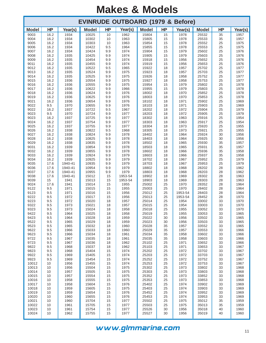| <b>EVINRUDE OUTBOARD (1979 &amp; Before)</b> |              |                    |                |            |                 |                |           |                 |                |           |              |
|----------------------------------------------|--------------|--------------------|----------------|------------|-----------------|----------------|-----------|-----------------|----------------|-----------|--------------|
| <b>Model</b>                                 | <b>HP</b>    | Year(s)            | <b>Model</b>   | <b>HP</b>  | Year(s)         | <b>Model</b>   | <b>HP</b> | Year(s)         | <b>Model</b>   | <b>HP</b> | Year(s)      |
| 9003                                         | 16.2         | 1934               | 10025          | 10         | 1962            | 15804          | 15        | 1978            | 25532          | 35        | 1957         |
| 9004<br>9005                                 | 16.2<br>16.2 | 1934<br>1934       | 10302<br>10303 | 10<br>10   | 1963<br>1963    | 15805<br>15854 | 15<br>15  | 1978<br>1978    | 25533<br>25552 | 35<br>25  | 1957<br>1975 |
| 9006                                         | 16.2         | 1934               | 10422          | 9.5        | 1964            | 15855          | 15        | 1978            | 25553          | 25        | 1975         |
| 9007                                         | 16.2         | 1934               | 10424          | 9.9        | 1974            | 15904          | 15        | 1979            | 25602          | 25        | 1976         |
| 9008                                         | 16.2         | 1935               | 10425          | 9.9        | 1974            | 15905          | 15        | 1979            | 25603          | 25        | 1976         |
| 9009                                         | 16.2         | 1935               | 10454          | 9.9        | 1974            | 15918          | 15        | 1956            | 25652          | 25        | 1976         |
| 9011<br>9012                                 | 16.2<br>16.2 | 1935<br>1935       | 10455<br>10522 | 9.9<br>9.5 | 1974<br>1965    | 15919<br>15922 | 15<br>18  | 1956<br>1957    | 25653<br>25702 | 25<br>25  | 1976<br>1977 |
| 9013                                         | 16.2         | 1935               | 10524          | 9.9        | 1975            | 15923          | 18        | 1957            | 25703          | 25        | 1977         |
| 9014                                         | 16.2         | 1935               | 10525          | 9.9        | 1975            | 15926          | 18        | 1958            | 25752          | 25        | 1977         |
| 9015                                         | 16.2         | 1936               | 10554          | 9.9        | 1975            | 15927          | 18        | 1958            | 25753          | 25        | 1977         |
| 9016                                         | 16.2         | 1936               | 10555          | 9.9        | 1975            | 15954          | 15        | 1979            | 25802          | 25        | 1978         |
| 9017<br>9018                                 | 16.2<br>16.2 | 1936<br>1936       | 10622<br>10624 | 9.9<br>9.9 | 1966<br>1976    | 15955<br>18002 | 15<br>18  | 1979<br>1970    | 25803<br>25852 | 25<br>25  | 1978<br>1978 |
| 9019                                         | 16.2         | 1936               | 10625          | 9.9        | 1976            | 18003          | 18        | 1970            | 25853          | 25        | 1978         |
| 9021                                         | 16.2         | 1936               | 10654          | 9.9        | 1976            | 18102          | 18        | 1971            | 25902          | 25        | 1969         |
| 9022                                         | 9.5          | 1970               | 10655          | 9.9        | 1976            | 18103          | 18        | 1971            | 25903          | 25        | 1969         |
| 9022                                         | 16.2         | 1937               | 10722          | 9.5        | 1967            | 18202          | 18        | 1972            | 25904          | 25        | 1979         |
| 9023                                         | $9.5\,$      | 1970               | 10724<br>10725 | 9.9        | 1977            | 18203          | 18        | 1972            | 25905<br>25916 | 25<br>25  | 1979<br>1954 |
| 9023<br>9024                                 | 16.2<br>16.2 | 1937<br>1937       | 10754          | 9.9<br>9.9 | 1977<br>1977    | 18302<br>18303 | 18<br>18  | 1963<br>1963    | 25917          | 25        | 1954         |
| 9025                                         | 16.2         | 1937               | 10755          | 9.9        | 1977            | 18304          | 18        | 1973            | 25920          | 25        | 1955         |
| 9026                                         | 16.2         | 1938               | 10822          | 9.5        | 1968            | 18305          | 18        | 1973            | 25921          | 25        | 1955         |
| 9027                                         | 16.2         | 1938               | 10824          | 9.9        | 1978            | 18402          | 18        | 1964            | 25924          | 30        | 1956         |
| 9028                                         | 16.2         | 1938               | 10825          | 9.9        | 1978            | 18403          | 18        | 1964            | 25925          | 30        | 1956         |
| 9029<br>9031                                 | 16.2<br>16.2 | 1938<br>1939       | 10835<br>10854 | 9.9<br>9.9 | 1978<br>1978    | 18502<br>18503 | 18<br>18  | 1965<br>1965    | 25930<br>25931 | 35<br>35  | 1957<br>1957 |
| 9032                                         | 16.2         | 1939               | 10855          | 9.9        | 1978            | 18602          | 18        | 1966            | 25936          | 35        | 1958         |
| 9033                                         | 16.2         | 1939               | 10924          | 9.9        | 1979            | 18603          | 18        | 1966            | 25937          | 35        | 1958         |
| 9034                                         | 16.2         | 1939               | 10925          | 9.9        | 1979            | 18702          | 18        | 1967            | 25952          | 25        | 1979         |
| 9035                                         | 17.6         | 1940-41            | 10935          | 9.9        | 1979            | 18703          | 18        | 1967            | 25953          | 25        | 1979         |
| 9036                                         | 17.6         | 1940-41            | 10954          | 9.9        | 1979            | 18802          | 18        | 1968            | 28202          | 28        | 1962         |
| 9037<br>9038                                 | 17.6<br>17.6 | 1940-41<br>1940-41 | 10955<br>15012 | 9.9<br>15  | 1979<br>1953-54 | 18803<br>18902 | 18<br>18  | 1968<br>1969    | 28203<br>28302 | 28<br>28  | 1962<br>1963 |
| 9039                                         | 15           | 1941               | 15013          | 15         | 1953-54         | 18903          | 18        | 1969            | 28303          | 28        | 1963         |
| 9024                                         | 17.6         | 1941               | 15014          | 15         | 1955            | 25002          | 25        | 1970            | 28352          | 28        | 1964         |
| 9122                                         | 9.5          | 1971               | 15015          | 15         | 1955            | 25003          | 25        | 1970            | 28402          | 28        | 1964         |
| 9123                                         | 9.5          | 1971               | 15016<br>15017 | 15         | 1956            | 25012<br>25013 | 25        | 1953-54         | 28403          | 28        | 1964         |
| 9222<br>9223                                 | 9.5<br>9.5   | 1972<br>1972       | 15020          | 15<br>18   | 1956<br>1957    | 25014          | 25<br>25  | 1953-54<br>1954 | 28452<br>33002 | 28<br>33  | 1970<br>1970 |
| 9322                                         | 9.5          | 1973               | 15021          | 18         | 1957            | 25015          | 25        | 1954            | 33003          | 33        | 1970         |
| 9323                                         | 9.5          | 1973               | 15024          | 18         | 1958            | 25018          | 25        | 1955            | 33052          | 33        | 1970         |
| 9422                                         | 9.5          | 1964               | 15025          | 18         | 1958            | 25019          | 25        | 1955            | 33053          | 33        | 1965         |
| 9423<br>9522                                 | 9.5<br>9.5   | 1964<br>1965       | 15028<br>15029 | 18         | 1959<br>1959    | 25022<br>25023 | 30<br>30  | 1956<br>1956    | 33502<br>33503 | 33<br>33  | 1965<br>1965 |
| 9523                                         | 9.5          | 1965               | 15032          | 18<br>18   | 1960            | 25028          | 35        | 1957            | 33552          | 33        | 1965         |
| 9622                                         | 9.5          | 1966               | 15033          | 18         | 1960            | 25029          | 35        | 1957            | 33553          | 33        | 1966         |
| 9623                                         | 9.5          | 1966               | 15034          | 18         | 1961            | 25034          | 35        | 1958            | 33602          | 33        | 1966         |
| 9722                                         | 9.5          | 1967               | 15035          | 18         | 1961            | 25035          | 35        | 1958            | 33603          | 33        | 1966         |
| 9723<br>9822                                 | 9.5          | 1967               | 15036          | 18         | 1962            | 25102          | 25        | 1971            | 33652          | 33        | 1966         |
| 9823                                         | 9.5<br>9.5   | 1968<br>1968       | 15037<br>15404 | 18<br>15   | 1962<br>1974    | 25103<br>25202 | 25<br>25  | 1971<br>1972    | 33653<br>33702 | 33<br>33  | 1967<br>1967 |
| 9922                                         | 9.5          | 1969               | 15405          | 15         | 1974            | 25203          | 25        | 1972            | 33703          | 33        | 1967         |
| 9923                                         | 9.5          | 1969               | 15454          | 15         | 1974            | 25252          | 25        | 1972            | 33752          | 33        | 1967         |
| 10012                                        | 10           | 1956               | 15455          | 15         | 1974            | 25253          | 25        | 1972            | 33753          | 33        | 1967         |
| 10013                                        | 10           | 1956               | 15504          | 15         | 1975            | 25302          | 25        | 1973            | 33802          | 33        | 1968         |
| 10014<br>10015                               | 10<br>10     | 1957<br>1957       | 15505<br>15554 | 15<br>15   | 1975<br>1975    | 25303<br>25352 | 25<br>25  | 1973<br>1973    | 33803<br>33852 | 33<br>33  | 1968<br>1968 |
| 10016                                        | 10           | 1958               | 15555          | 15         | 1975            | 25353          | 25        | 1973            | 33853          | 33        | 1968         |
| 10017                                        | 10           | 1958               | 15604          | 15         | 1976            | 25402          | 25        | 1974            | 33902          | 33        | 1969         |
| 10018                                        | 10           | 1959               | 15605          | 15         | 1975            | 25403          | 25        | 1974            | 33903          | 33        | 1969         |
| 10019                                        | 10           | 1959               | 15654          | 15         | 1976            | 25452          | 25        | 1974            | 33952          | 33        | 1969         |
| 10020<br>10021                               | 10<br>10     | 1960<br>1960       | 15655<br>15704 | 15<br>15   | 1976<br>1977    | 25453<br>25502 | 25<br>25  | 1974<br>1975    | 33953<br>35012 | 33<br>35  | 1969<br>1959 |
| 10022                                        | 10           | 1961               | 15705          | 15         | 1977            | 25503          | 25        | 1975            | 35013          | 35        | 1959         |
| 10023                                        | 10           | 1961               | 15754          | 15         | 1977            | 25526          | 30        | 1956            | 35018          | 40        | 1960         |
| 10024                                        | 10           | 1962               | 15755          | 15         | 1977            | 25527          | 30        | 1956            | 35019          | 40        | 1960         |
|                                              |              |                    |                |            |                 |                |           |                 |                |           |              |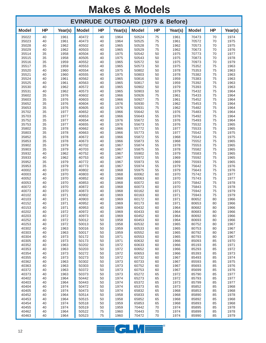| <b>EVINRUDE OUTBOARD (1979 &amp; Before)</b> |           |              |                |           |              |                |           |              |                |           |              |  |
|----------------------------------------------|-----------|--------------|----------------|-----------|--------------|----------------|-----------|--------------|----------------|-----------|--------------|--|
| <b>Model</b>                                 | <b>HP</b> | Year(s)      | <b>Model</b>   | <b>HP</b> | Year(s)      | <b>Model</b>   | <b>HP</b> | Year(s)      | <b>Model</b>   | <b>HP</b> | Year(s)      |  |
| 35022                                        | 40        | 1961         | 40472          | 40        | 1964         | 50524          | 75        | 1961         | 70473          | 70        | 1974         |  |
| 35023<br>35028                               | 40<br>40  | 1961<br>1962 | 40473<br>40502 | 40<br>40  | 1964<br>1965 | 50525<br>50528 | 75<br>75  | 1961<br>1962 | 70572<br>70573 | 70<br>70  | 1975<br>1975 |  |
| 35029                                        | 40        | 1962         | 40503          | 40        | 1965         | 50529          | 75        | 1962         | 70673          | 70        | 1976         |  |
| 35514                                        | 35        | 1958         | 40504          | 40        | 1975         | 50542          | 50        | 1975         | 70773          | 70        | 1977         |  |
| 35515<br>35516                               | 35<br>35  | 1958<br>1959 | 40505<br>40552 | 40<br>40  | 1975<br>1965 | 50543<br>50572 | 50<br>50  | 1975<br>1975 | 70873<br>70973 | 70<br>70  | 1978<br>1979 |  |
| 35517                                        | 35        | 1959         | 40553          | 40        | 1965         | 50573          | 50        | 1975         | 75352          | 75        | 1963         |  |
| 35520                                        | 40        | 1960         | 40554          | 40        | 1975         | 50802          | 50        | 1978         | 75353          | 75        | 1963         |  |
| 35521                                        | 40        | 1960         | 40555          | 40        | 1975         | 50803          | 50        | 1978         | 75382          | 75        | 1963         |  |
| 35524<br>35525                               | 40<br>40  | 1961<br>1961 | 40562<br>40563 | 40<br>40  | 1965<br>1965 | 50816<br>50817 | 50<br>50  | 1959<br>1959 | 75383<br>75392 | 75<br>75  | 1963<br>1963 |  |
| 35530                                        | 40        | 1962         | 40572          | 40        | 1965         | 50902          | 50        | 1979         | 75393          | 75        | 1963         |  |
| 35531                                        | 40        | 1962         | 40573          | 40        | 1965         | 50903          | 50        | 1979         | 75432          | 75        | 1964         |  |
| 35602<br>35603                               | 35<br>35  | 1976<br>1976 | 40602<br>40603 | 40<br>40  | 1966<br>1966 | 50926<br>50927 | 75<br>75  | 1961<br>1961 | 75433<br>75452 | 75<br>75  | 1964<br>1964 |  |
| 35652                                        | 35        | 1976         | 40604          | 40        | 1976         | 50930          | 75        | 1962         | 75453          | 75        | 1964         |  |
| 35653                                        | 35        | 1976         | 40605          | 40        | 1976         | 50931          | 75        | 1962         | 75482          | 75        | 1964         |  |
| 35702                                        | 35        | 1977         | 40652          | 40        | 1966         | 55642          | 55        | 1976         | 75483          | 75        | 1964         |  |
| 35703<br>35752                               | 35<br>35  | 1977<br>1977 | 40653<br>40654 | 40<br>40  | 1966<br>1976 | 55643<br>55672 | 55<br>55  | 1976<br>1976 | 75492<br>75493 | 75<br>75  | 1964<br>1964 |  |
| 35753                                        | 35        | 1977         | 40655          | 40        | 1976         | 55673          | 55        | 1976         | 75532          | 75        | 1965         |  |
| 35802                                        | 35        | 1978         | 40662          | 40        | 1966         | 55772          | 55        | 1977         | 75533          | 75        | 1965         |  |
| 35803<br>35852                               | 35<br>35  | 1978<br>1978 | 40663<br>40672 | 40<br>40  | 1966<br>1966 | 55773<br>55872 | 55<br>55  | 1977<br>1968 | 75542<br>75543 | 75<br>75  | 1975<br>1975 |  |
| 35853                                        | 35        | 1978         | 40673          | 40        | 1966         | 55873          | 55        | 1968         | 75552          | 75        | 1965         |  |
| 35902                                        | 35        | 1979         | 40702          | 40        | 1967         | 55874          | 55        | 1978         | 75553          | 75        | 1965         |  |
| 35903                                        | 35        | 1979         | 40703          | 40        | 1967         | 55875          | 55        | 1978         | 75582          | 75        | 1965         |  |
| 35932<br>35933                               | 40<br>40  | 1962<br>1962 | 40752<br>40753 | 40<br>40  | 1967<br>1967 | 55902<br>55972 | 55<br>55  | 1979<br>1969 | 75583<br>75592 | 75<br>75  | 1965<br>1965 |  |
| 35952                                        | 35        | 1979         | 40772          | 40        | 1967         | 55973          | 55        | 1969         | 75593          | 75        | 1965         |  |
| 35953                                        | 35        | 1979         | 40773          | 40        | 1967         | 55974          | 55        | 1979         | 75642          | 75        | 1976         |  |
| 40002<br>40003                               | 40<br>40  | 1970<br>1970 | 40802<br>40803 | 40<br>40  | 1968<br>1968 | 55975<br>60062 | 55<br>60  | 1979<br>1970 | 75643<br>75742 | 75<br>75  | 1976<br>1977 |  |
| 40052                                        | 40        | 1970         | 40852          | 40        | 1968         | 60063          | 60        | 1970         | 75743          | 75        | 1977         |  |
| 40053                                        | 40        | 1970         | 40853          | 40        | 1968         | 60072          | 60        | 1970         | 75842          | 75        | 1978         |  |
| 40072<br>40073                               | 40<br>40  | 1970<br>1970 | 40872<br>40873 | 40<br>40  | 1968<br>1968 | 60073<br>60162 | 60<br>60  | 1970<br>1971 | 75843<br>75942 | 75<br>75  | 1978<br>1979 |  |
| 40102                                        | 40        | 1971         | 40902          | 40        | 1969         | 60163          | 60        | 1971         | 75943          | 75        | 1979         |  |
| 40103                                        | 40        | 1971         | 40903          | 40        | 1969         | 60172          | 60        | 1971         | 80652          | 80        | 1966         |  |
| 40152                                        | 40        | 1971         | 40952          | 40        | 1969         | 60173          | 60        | 1971         | 80653          | 80        | 1966         |  |
| 40153<br>40202                               | 40<br>40  | 1971<br>1972 | 40953<br>40972 | 40<br>40  | 1969<br>1969 | 60432<br>60433 | 60<br>60  | 1964<br>1964 | 80682<br>80683 | 80<br>80  | 1966<br>1966 |  |
| 40203                                        | 40        | 1972         | 40973          | 40        | 1969         | 60452          | 60        | 1964         | 80692          | 80        | 1966         |  |
| 40252                                        | 40        | 1972         | 50012          | 50        | 1958         | 60453          | 60        | 1964         | 80693          | 80        | 1966         |  |
| 40253<br>40302                               | 40<br>40  | 1972<br>1963 | 50013<br>50016 | 50<br>50  | 1958<br>1959 | 60532<br>60533 | 60<br>60  | 1965<br>1965 | 80752<br>80753 | 80<br>80  | 1967<br>1967 |  |
| 40303                                        | 40        | 1963         | 50017          | 50        | 1959         | 60552          | 60        | 1965         | 80792          | 80        | 1967         |  |
| 40304                                        | 40        | 1973         | 50172          | 50        | 1971         | 60553          | 60        | 1965         | 80793          | 80        | 1967         |  |
| 40305                                        | 40        | 1973         | 50173          | 50        | 1971         | 60632          | 60        | 1966         | 85093          | 85        | 1970         |  |
| 40352<br>40353                               | 40<br>40  | 1963<br>1963 | 50202<br>50203 | 50<br>50  | 1972<br>1972 | 60633<br>60652 | 60<br>60  | 1966<br>1966 | 85193<br>85293 | 85<br>85  | 1971<br>1972 |  |
| 40354                                        | 40        | 1973         | 50272          | 50        | 1972         | 60653          | 60        | 1966         | 85393          | 85        | 1973         |  |
| 40355                                        | 40        | 1973         | 50273          | 50        | 1972         | 60732          | 60        | 1967         | 85493          | 85        | 1974         |  |
| 40362<br>40363                               | 40<br>40  | 1963<br>1963 | 50302<br>50303 | 50<br>50  | 1973<br>1973 | 60733<br>60752 | 60<br>60  | 1967<br>1967 | 85593<br>85693 | 85<br>85  | 1975<br>1976 |  |
| 40372                                        | 40        | 1963         | 50372          | 50        | 1973         | 60753          | 60        | 1967         | 85699          | 85        | 1976         |  |
| 40373                                        | 40        | 1963         | 50373          | 50        | 1973         | 65272          | 65        | 1972         | 85790          | 85        | 1977         |  |
| 40402                                        | 40        | 1964         | 50442          | 50        | 1974         | 65273          | 65        | 1972         | 85793          | 85        | 1977         |  |
| 40403<br>40404                               | 40<br>40  | 1964<br>1974 | 50443<br>50472 | 50<br>50  | 1974<br>1974 | 65372<br>65373 | 65<br>65  | 1973<br>1973 | 85799<br>85852 | 85<br>85  | 1977<br>1968 |  |
| 40405                                        | 40        | 1974         | 50473          | 50        | 1974         | 65832          | 65        | 1968         | 85853          | 85        | 1968         |  |
| 40452                                        | 40        | 1964         | 50514          | 50        | 1958         | 65833          | 65        | 1968         | 85890          | 85        | 1978         |  |
| 40453<br>40454                               | 40<br>40  | 1964<br>1974 | 50515<br>50518 | 50<br>50  | 1958<br>1959 | 65852<br>65853 | 65<br>65  | 1968<br>1968 | 85892<br>85893 | 85<br>85  | 1968<br>1968 |  |
| 40455                                        | 40        | 1974         | 50519          | 50        | 1959         | 70442          | 70        | 1974         | 85895          | 85        | 1978         |  |
| 40462                                        | 40        | 1964         | 50522          | 75        | 1960         | 70443          | $70\,$    | 1974         | 85899          | 85        | 1978         |  |
| 40463                                        | 40        | 1964         | 50523          | 75        | 1960         | 70472          | 70        | 1974         | 85990          | 85        | 1979         |  |

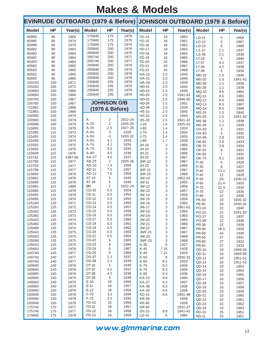|                  |            |              |                  |                    |              | EVINRUDE OUTBOARD (1979 & Before) JOHNSON OUTBOARD (1979 & Before) |                                                      |                    |                       |                       |                    |
|------------------|------------|--------------|------------------|--------------------|--------------|--------------------------------------------------------------------|------------------------------------------------------|--------------------|-----------------------|-----------------------|--------------------|
| <b>Model</b>     | <b>HP</b>  | Year(s)      | <b>Model</b>     | <b>HP</b>          | Year(s)      | <b>Model</b>                                                       | <b>HP</b>                                            | Year(s)            | <b>Model</b>          | <b>HP</b>             | Year(s)            |
| 85993            | 85         | 1969         | 175849           | 175                | 1978         | FD-14                                                              | 18                                                   | 1960               | $LD-11$               | 5                     | 1966               |
| 85995<br>85999   | 85<br>85   | 1979<br>1979 | 175940<br>175949 | 175<br>175         | 1979<br>1979 | FD-15<br>FD-16                                                     | 18<br>18                                             | 1961<br>1962       | $LD-12$               | 5                     | 1967               |
| 90482            | 90         | 1964         | 200640           | 200                | 1976         | FD-17                                                              | 18                                                   | 1963               | $LD-13$<br>LS-37      | 5                     | 1968<br>1937       |
| 90483            | 90         | 1964         | 200649           | 200                | 1976         | FD-18                                                              | 18                                                   | 1964               | $LS-38$               | 2.1<br>2.1            | 1938               |
| 90492            | 90         | 1964         | 200740           | 200                | 1977         | FD-19                                                              | 18                                                   | 1965               | $LT-10$               | 5                     | 1940               |
| 90493            | 90         | 1964         | 200749           | 200                | 1977         | FD-20                                                              | 20                                                   | 1966               | $LT-37$               | 4.2                   | 1937               |
| 90582<br>90583   | 90<br>90   | 1965<br>1965 | 200840<br>200849 | 200<br>200         | 1978<br>1978 | FD-21<br>FD-22                                                     | 20<br>20                                             | 1967<br>1968       | $LT-38$               | 4.2                   | 1938               |
| 90592            | 90         | 1965         | 200940           | 200                | 1979         | <b>HA-10</b>                                                       | 2.5                                                  | 1940               | LT-39<br><b>MD-15</b> | 5<br>1.5              | 1939<br>1940       |
| 90593            | 90         | 1965         | 200949           | 200                | 1979         | <b>HA-15</b>                                                       | 2.5                                                  | 1940               | <b>MD-20</b>          | 1.5                   | 1941-42            |
| 100193           | 100        | 1971         | 235840           | 235                | 1978         | <b>HA-39</b>                                                       | 2.5                                                  | 1939               | <b>MD-38</b>          | 1.1                   | 1938               |
| 100293           | 100        | 1972         | 235849           | 235                | 1978         | HD-10                                                              | 2.5                                                  | 1940               | MD-39                 | 1.1                   | 1939               |
| 100683           | 100        | 1966<br>1966 | 235940<br>235949 | 235<br>235         | 1979<br>1979 | <b>HD-15</b><br>HD-20                                              | 2.5                                                  | 1940               | MQ-10                 | 9.5                   | 1964               |
| 100693<br>100782 | 100<br>100 | 1967         |                  |                    |              | HD-25                                                              | 2.5<br>2.5                                           | 1941-42<br>1946-50 | <b>MQ-11</b>          | 9.5                   | 1965               |
| 100783           | 100        | 1967         |                  | <b>JOHNSON O/B</b> |              | HD-26                                                              | 2.5                                                  | 1951               | MQ-12<br>MQ-13        | 9.5<br>9.5            | 1966<br>1967       |
| 711882           | 100        | 1968         |                  | (1979 & Before)    |              | HD-39                                                              | 2.5                                                  | 1939               | <b>MQ-14</b>          | 9.5                   | 1968               |
| 711883           | 100        | 1968         |                  |                    |              | <b>HS-10</b>                                                       | 2.5                                                  | 1940               | <b>MS-15</b>          | 1.5                   | 1940               |
| 100990           | 100        | 1979         |                  |                    | 1922-24      | $HS-15$                                                            | 2.5                                                  | 1940               | <b>MS-20</b>          | 1.5                   | 1941-42            |
| 100993<br>100999 | 100<br>100 | 1979<br>1979 | Α<br>$A-25$      | 2<br>2             | 1925-26      | <b>HS-20</b><br>$J-25$                                             | 2.5<br>1.5                                           | 1941-42<br>1925-32 | <b>MS-38</b>          | 1.1                   | 1938               |
| 115083           | 115        | 1970         | $A-35$           | 2.5                | 1927-28      | $J-65$                                                             | 1.4                                                  | 1933               | <b>MS-39</b><br>OA-55 | 1.1<br>3              | 1939<br>1931       |
| 115393           | 115        | 1973         | A-45             | 3                  | 1929         | $J-70$                                                             | 1.4                                                  | 1934               | OA-60                 | 3                     | 1932               |
| 115493           | 115        | 1974         | $A-50$           | 4                  | 1930-32      | $J-75$                                                             | 1.4                                                  | 1935               | OA-65                 | 2.8                   | 1933               |
| 115499           | 115        | 1974         | $A-65$           | 4.1                | 1933         | $J-80$                                                             | 1.7                                                  | 1936               | OB-65                 | 2.8                   | 1933               |
| 115593           | 115        | 1975<br>1976 | $A-70$<br>$A-75$ | 4.1<br>4.5         | 1934<br>1935 | JH-19<br>JH-20                                                     | 3<br>3                                               | 1964               | <b>OB-70</b>          | 2.8                   | 1934               |
| 115693<br>115699 | 115<br>115 | 1976         | A-80             | 4.5                | 1936         | $JH-21$                                                            | 3                                                    | 1965<br>1966       | OK-55                 | 8                     | 1931               |
| 115742           | 115        | 1967-68      | AA-37            | 4.5                | 1937         | <b>JH-22</b>                                                       | 3                                                    | 1967               | OK-60<br>OK-75        | $\overline{7}$<br>8.1 | 1932<br>1935       |
| 115790           | 115        | 1977         | AB-25            | $\overline{2}$     | 1925-26      | <b>JHF-22</b>                                                      | 3                                                    | 1967               | P-30                  | 6                     | 1926               |
| 115793           | 115        | 1977         | AD-10            | 7.5                | 1956         | $JH-23$                                                            | 3                                                    | 1968               | $P-35$                | 8                     | 1927               |
| 115799           | 115        | 1977         | AD-11<br>AD-12   | 7.5<br>7.5         | 1957<br>1958 | <b>JHF-21</b>                                                      | 3                                                    | 1967               | $P-40$                | 13.2                  | 1928               |
| 115890<br>115893 | 115<br>115 | 1978<br>1978 | AT-10            | 5                  | 1940         | <b>JHF-23</b><br>JW-10                                             | 3<br>3                                               | 1968<br>1952-54    | $P-45$                | 12                    | 1929               |
| 115899           | 115        | 1978         | AT-39            | 5                  | 1939         | $JW-11$                                                            | 3                                                    | 1955               | $P-50$<br>$P-65$      | 20<br>21.4            | 1930-32<br>1933    |
| 115983           | 115        | 1969         | <b>BN</b>        | 2                  | 1922-24      | JW-12                                                              | 3                                                    | 1956               | P-70                  | 21.4                  | 1934               |
| 115990           | 115        | 1979         | CD-10            | 5.5                | 1954         | $JW-13$                                                            | 3                                                    | 1957               | P-75                  | 22                    | 1935               |
| 115993           | 115        | 1979         | CD-11<br>CD-12   | 5.5<br>5.5         | 1954<br>1955 | JW-14                                                              | 3                                                    | 1958               | $P-80$                | 22                    | 1936               |
| 115999<br>125183 | 115<br>125 | 1979<br>1971 | CD-13            | 5.5                | 1956         | $JW-15$<br>JW-16                                                   | 3<br>3                                               | 1959<br>1960       | PA-50                 | 20                    | 1930-32            |
| 125283           | 125        | 1972         | CD-14            | 5.5                | 1957         | JW-17                                                              | 3                                                    | 1961-62            | PE-50<br>PO-10        | 20<br>22              | 1930-32<br>1940    |
| 135342           | 135        | 1973         | CD-15            | 5.5                | 1958         | JW-18                                                              | 3                                                    | 1963               | PO-15                 | 22                    | 1941-50            |
| 135383           | 135        | 1973         | CD-16            | 5.5                | 1959         | JW-19                                                              | 3                                                    | 1964               | PO-37                 | 22                    | 1937               |
| 135443           | 135        | 1974         | CD-17<br>CD-18   | 5.5<br>5.5         | 1960<br>1961 | JW-20                                                              | 3                                                    | 1965               | PO-38                 | 22                    | 1938               |
| 135483<br>135489 | 135<br>135 | 1974<br>1974 | CD-19            | 5.5                | 1962         | JW-21<br>JW-22                                                     | 3<br>3                                               | 1966<br>1967       | PR-39                 | 22                    | 1939               |
| 135543           | 135        | 1975         | CD-20            | 5.5                | 1963         | <b>JWF-21</b>                                                      | 3                                                    | 1967               | <b>PR-40</b><br>PR-50 | 16.5<br>24            | 1928<br>1930       |
| 135583           | 135        | 1975         | CD-21            | 5.5                | 1964         | $JW-23$                                                            | 3                                                    | 1968               | <b>PR-55</b>          | 27                    | 1931               |
| 135589           | 135        | 1975         | CD-22            | 6                  | 1965         | <b>JWF-23</b>                                                      | 3                                                    | 1968               | PR-60                 | 27                    | 1932               |
| 135643           | 135        | 1976         | CD-23<br>CD-24   | 6<br>6             | 1966<br>1967 | $K-35$                                                             | 6                                                    | 1927               | PR-65                 | 27                    | 1933               |
| 135683<br>140740 | 135<br>140 | 1976<br>1977 | CD-25            | 6                  | 1968         | K-40<br>K-45                                                       | 7.15<br>7.15                                         | 1928<br>1929       | $QD-10$               | 10                    | 1949-50            |
| 140743           | 140        | 1977         | <b>DS-37</b>     | 2.1                | 1937         | K-50                                                               | 8                                                    | 1930-32            | QD-11<br>$QD-12$      | 10<br>10              | 1949-50<br>1951-52 |
| 140783           | 140        | 1977         | <b>DS-38</b>     | 2.1                | 1938         | K-65                                                               | 9.2                                                  | 1933               | $QD-13$               | 10                    | 1951-52            |
| 140840           | 140        | 1978         | DT-10            | 5                  | 1940         | K-70                                                               | 9.2                                                  | 1934               | QD-14                 | 10                    | 1953               |
| 140843           | 140        | 1978         | DT-37<br>DT-38   | 4.2<br>4.2         | 1937<br>1938 | K-75                                                               | 9.3                                                  | 1935               | QD-15                 | 10                    | 1954               |
| 140883<br>140940 | 140<br>140 | 1978<br>1979 | DT-39            | 5                  | 1939         | K-80<br><b>KA-10</b>                                               | 9.3<br>9.8                                           | 1936<br>1940       | QD-16                 | 10                    | 1955               |
| 140943           | 140        | 1979         | $E-10$           | 15                 | 1956         | <b>KA-37</b>                                                       | 9.3                                                  | 1937               | QD-17<br>QD-18        | 10<br>10              | 1956<br>1957       |
| 140983           | 140        | 1979         | $E-11$           | 18                 | 1957         | <b>KA-38</b>                                                       | 9.3                                                  | 1938               | QD-19                 | 10                    | 1958               |
| 150840           | 150        | 1978         | $E-12$           | 18                 | 1958         | <b>KA-39</b>                                                       | 9.8                                                  | 1939               | $QD-20$               | 10                    | 1959               |
| 150849           | 150        | 1978         | $F-70$           | 3.3                | 1934         | <b>KD-15</b>                                                       | 9.8                                                  | 1941-48            | QD-21                 | 10                    | 1960               |
| 150940<br>150949 | 150<br>150 | 1979<br>1979 | $F-75$<br>FD-10  | 3.3<br>15          | 1935<br>1956 | <b>KR-38</b><br>KR-40                                              | $\blacksquare$                                       | 1938<br>1928       | QD-22                 | 10                    | 1961               |
| 175740           | 175        | 1977         | FD-11            | 18                 | 1957         | <b>KR-55</b>                                                       | $\overline{\phantom{a}}$<br>$\overline{\phantom{a}}$ | 1931-37            | $QD-23$<br>QD-24      | 10<br>10              | 1962<br>1963       |
| 175749           | 175        | 1977         | FD-12            | 18                 | 1958         | <b>DS-15</b>                                                       | 9.8                                                  | 1941-42            | <b>RD-10</b>          | 25                    | 1951               |
| 175840           | 175        | 1978         | FD-13            | 18                 | 1959         | $LD-10$                                                            | 5                                                    | 1965               | <b>RD-11</b>          | 25                    | 1951               |

www.glmmarine.com 13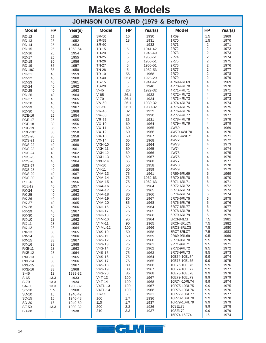|                                |           |                    |                              |                       | <b>JOHNSON OUTBOARD (1979 &amp; Before)</b> |                              |                         |              |
|--------------------------------|-----------|--------------------|------------------------------|-----------------------|---------------------------------------------|------------------------------|-------------------------|--------------|
| <b>Model</b>                   | <b>HP</b> | Year(s)            | <b>Model</b>                 | <b>HP</b>             | Year(s)                                     | <b>Model</b>                 | <b>HP</b>               | Year(s)      |
| <b>RD-12</b>                   | 25        | 1952               | <b>SR-50</b>                 | 16                    | 1930                                        | 1R69                         | 1.5                     | 1969         |
| <b>RD-13</b>                   | 25        | 1952               | <b>SR-55</b>                 | 18                    | 1931                                        | 1R70<br>2R71                 | 1.5                     | 1970<br>1971 |
| <b>RD-14</b><br><b>RD-15</b>   | 25<br>25  | 1953<br>1953-54    | <b>SR-60</b><br><b>TD-15</b> | ÷,<br>5               | 1932<br>1941-42                             | 2R72                         | 2<br>2                  | 1972         |
| <b>RD-16</b>                   | 25        | 1954               | <b>TD-20</b>                 | 5                     | 1946-49                                     | 2R73                         | 2                       | 1973         |
| <b>RD-17</b>                   | 25        | 1955               | <b>TN-25</b>                 | 5                     | 1950-51                                     | 2R74                         | 2                       | 1974         |
| <b>RD-18</b>                   | 30        | 1956               | <b>TN-26</b>                 | 5                     | 1950-51                                     | 2R75                         | 2                       | 1975         |
| <b>RD-19</b>                   | 35        | 1957               | <b>TN-27</b>                 | 5                     | 1950-51                                     | 2R76                         | $\overline{2}$          | 1976         |
| <b>RD-19C</b>                  | 35        | 1958               | <b>TN-28</b>                 | 5                     | 1952-53                                     | 2R77                         | 2                       | 1977         |
| <b>RD-21</b><br><b>RD-22</b>   | 40<br>40  | 1959<br>1960       | <b>TR-10</b><br><b>TR-40</b> | 55<br>25.8            | 1968<br>1928-29                             | 2R79<br>2R79                 | 2<br>$\overline{2}$     | 1978<br>1979 |
| <b>RD-23</b>                   | 40        | 1961               | <b>TS-15</b>                 | 5                     | 1941-42                                     | 4R69-4RL69                   | 4                       | 1969         |
| <b>RD-24</b>                   | 40        | 1962               | <b>TS-20</b>                 | 5                     | 1946                                        | 4R70-4RL70                   | 4                       | 1970         |
| <b>RD-25</b>                   | 40        | 1963               | $V-45$                       | 26                    | 1929-32                                     | 4R71-4RL71                   | 4                       | 1971         |
| <b>RD-26</b>                   | 40        | 1964               | $V-65$                       | 26.1                  | 1933                                        | 4R72-4RL72                   | 4                       | 1972         |
| <b>RD-27</b>                   | 40        | 1965               | $V-70$                       | 26.1                  | 1934                                        | 4R73-4RL73                   | 4                       | 1973         |
| <b>RD-28</b>                   | 40        | 1966               | $VA-50$<br>$VE-50$           | 26.1<br>26.1          | 1930-32<br>1930-32                          | 4R74-4RL74<br>4R75-4RL75     | 4<br>4                  | 1974<br>1975 |
| <b>RD-29</b><br><b>RD-30</b>   | 40<br>40  | 1967<br>1968       | <b>VR-45</b>                 | 32                    | 1929                                        | 4R76-4RL76                   | 4                       | 1976         |
| <b>RDE-16</b>                  | 25        | 1954               | <b>VR-50</b>                 | 32                    | 1930                                        | 4R77-4RL77                   | 4                       | 1977         |
| <b>RDE-17</b>                  | 25        | 1955               | <b>VR-55</b>                 | 36                    | 1931                                        | 4R78-4RL78                   | 4                       | 1978         |
| <b>RDE-18</b>                  | 30        | 1956               | $VX-10$                      | 60                    | 1964                                        | 4R79-4RL79                   | 4                       | 1979         |
| <b>RDE-19</b>                  | 35        | 1957               | $VX-11$                      | 60                    | 1965                                        | 4W69                         | $\overline{\mathbf{4}}$ | 1969         |
| RDE-19C                        | 35        | 1958               | $VX-12$                      | 60                    | 1966                                        | 4W70-4WL70                   | 4                       | 1970         |
| <b>RDS-20</b>                  | 35        | 1958               | $VX-13$                      | 60                    | 1967                                        | 4W71-4WL71<br>4W72           | 4<br>4                  | 1971<br>1972 |
| <b>RDS-21</b><br><b>RDS-22</b> | 35<br>40  | 1959<br>1960       | $VX-14$<br><b>VXH-10</b>     | 65<br>60              | 1968<br>1964                                | 4W73                         | 4                       | 1973         |
| <b>RDS-23</b>                  | 40        | 1961               | $VXH-11$                     | 60                    | 1965                                        | 4W74                         | 4                       | 1974         |
| <b>RDS-24</b>                  | 40        | 1962               | <b>VXH-12</b>                | 60                    | 1966                                        | 4W75                         | 4                       | 1975         |
| <b>RDS-25</b>                  | 40        | 1963               | <b>VXH-13</b>                | 60                    | 1967                                        | 4W76                         | 4                       | 1976         |
| <b>RDS-26</b>                  | 40        | 1964               | $VXH-14$                     | 65                    | 1968                                        | 4W77                         | 4                       | 1977         |
| <b>RDS-27</b>                  | 40        | 1965               | $V4-10$                      | 50                    | 1958                                        | 4W78                         | 4                       | 1978         |
| <b>RDS-28</b>                  | 40        | 1966               | $V4 - 11$<br>$V4A-13$        | 50<br>75              | 1959<br>1961                                | 4W79<br>6R69-6RL69           | 4<br>6                  | 1979<br>1969 |
| <b>RDS-29</b><br><b>RDS-30</b> | 40<br>40  | 1967<br>1968       | $V4A-14$                     | 75                    | 1962-63                                     | 6R70-6RL70                   | 6                       | 1970         |
| <b>RJE-18</b>                  | 40        | 1956               | $V4A-15$                     | 75                    | 1962-63                                     | 6R71-6RL71                   | 6                       | 1971         |
| <b>RJE-19</b>                  | 40        | 1957               | $V4A-16$                     | 75                    | 1964                                        | 6R72-6RL72                   | 6                       | 1972         |
| <b>RK-24</b>                   | 40        | 1962               | $V4A-17$                     | 75                    | 1965                                        | 6R73-6RL73                   | 6                       | 1973         |
| <b>RK-25</b>                   | 40        | 1963               | $V4A-18$                     | 80                    | 1966                                        | 6R74-6RL74                   | 6                       | 1974         |
| <b>RK-26</b>                   | 40        | 1964               | $V4A-19$<br>$V4A-20$         | 80<br>85              | 1967<br>1968                                | 6R75-6RL75<br>6R76-6RL76     | 6<br>6                  | 1975<br>1976 |
| <b>RK-27</b><br><b>RK-28</b>   | 40<br>40  | 1965<br>1966       | V4H-16                       | 75                    | 1964                                        | 6R77-6RL77                   | 6                       | 1977         |
| <b>RK-29</b>                   | 40        | 1967               | V4H-17                       | 75                    | 1965                                        | 6R78-6RL78                   | 6                       | 1978         |
| <b>RK-30</b>                   | 40        | 1968               | V4H-18                       | 75                    | 1966                                        | 6R79-6RL79                   | 6                       | 1979         |
| <b>RX-10</b>                   | 28        | 1962               | $V4M-10$                     | 90                    | 1964                                        | 8RCI-8RLCI                   | 7.5                     | 1981         |
| <b>RX-11</b>                   | 28        | 1963               | $V4M-11$                     | 90                    | 1965                                        | 8RCN-8RLCN                   | 7.5                     | 1982         |
| <b>RX-12</b>                   | 28        | 1964               | V4ML-12<br>$V4S-10$          | 100                   | 1966                                        | 8RCS-8RLCS<br>8RCT-8RLCT     | 7.5<br>7.5              | 1980<br>1983 |
| <b>RX-13</b><br><b>RX-14</b>   | 33<br>33  | 1965<br>1966       | $V4S-11$                     | 50<br>50              | 1958<br>1959                                | 9R69-9RL69                   | 9.5                     | 1969         |
| RX-15                          | 33        | 1967               | $V4S-12$                     | 75                    | 1960                                        | 9R70-9RL70                   | 9.5                     | 1970         |
| <b>RX-16</b>                   | 33        | 1968               | $V4S-13$                     | 75                    | 1961                                        | 9R71-9RL71                   | 9.5                     | 1971         |
| <b>RXE-11</b>                  | 28        | 1963               | $V4S-14$                     | 75                    | 1962                                        | 9R72-9RL72                   | 9.5                     | 1972         |
| <b>RXE-12</b>                  | 28        | 1964               | $V4S-15$                     | 75                    | 1963                                        | 9R73-9RL73                   | 9.5                     | 1973         |
| <b>RXE-13</b>                  | 33        | 1965               | $V4S-16$                     | 75                    | 1964                                        | 10E74-10EL74<br>10E75-10EL75 | 9.9                     | 1974         |
| <b>RXE-14</b><br><b>RXE-15</b> | 33<br>33  | 1966<br>1967       | $V4S-17$<br>$V4S-18$         | 75<br>80              | 1965<br>1966                                | 10E76-10EL76                 | 9.9<br>9.9              | 1975<br>1976 |
| <b>RXE-16</b>                  | 33        | 1968               | $V4S-19$                     | 80                    | 1967                                        | 10E77-10EL77                 | 9.9                     | 1977         |
| $S-45$                         | 13        | 1929-32            | $V4S-20$                     | 85                    | 1968                                        | 10E78-10EL78                 | 9.9                     | 1978         |
| $S-65$                         | 13.3      | 1933               | $V4T-13$                     | 100                   | 1967                                        | 10E79-10EL79                 | 9.9                     | 1979         |
| $S-70$                         | 13.3      | 1934               | $V4T-14$                     | 100                   | 1968                                        | 10R74-10RL74                 | 9.9                     | 1974         |
| <b>SA-50</b>                   | 13.3      | 1930-32            | V4TL-13                      | 100                   | 1967                                        | 10R75-10RL75                 | 9.9                     | 1975         |
| <b>SC-10</b>                   | 1.5       | 1968               | V4TL-14                      | 100                   | 1968                                        | 10R76-10RL76<br>10R77-10RL77 | 9.9<br>9.9              | 1976<br>1977 |
| SD-10<br><b>SD-15</b>          | 16<br>16  | 1940-42<br>1946-48 | XR-55<br>100                 | $\blacksquare$<br>1.7 | 1931<br>1936                                | 10R78-10RL78                 | 9.9                     | 1978         |
| SD-20                          | 16        | 1949-50            | 110                          | 1.7                   | 1937                                        | 10R79-10RL79                 | 9.9                     | 1979         |
| <b>SE-50</b>                   | 13.3      | 1930-32            | 200                          | 3.3                   | 1936                                        | 10SEL78                      | 9.9                     | 1978         |
| <b>SR-38</b>                   |           | 1938               | 210                          | 3.3                   | 1937                                        | 10SEL79                      | 9.9                     | 1979         |
|                                |           |                    |                              |                       |                                             | 15R74-15E74                  | 15                      | 1974         |

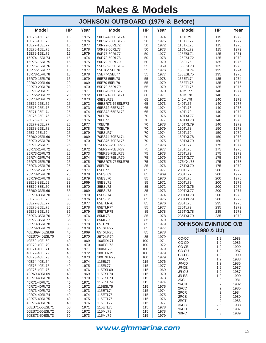| <b>JOHNSON OUTBOARD (1979 &amp; Before)</b> |           |              |                              |            |              |                             |                       |              |  |  |  |
|---------------------------------------------|-----------|--------------|------------------------------|------------|--------------|-----------------------------|-----------------------|--------------|--|--|--|
| <b>Model</b>                                | <b>HP</b> | Year         | <b>Model</b>                 | <b>HP</b>  | Year         | <b>Model</b>                | HP                    | Year         |  |  |  |
| 15E75-15EL75                                | 15        | 1975         | 50ES74-50ESL74               | 50         | 1974         | 115TL79                     | 115                   | 1979         |  |  |  |
| 15E76-15EL76                                | 15        | 1976         | 50ES75-50ESL75               | 50         | 1975         | 115TXL77                    | 115                   | 1977         |  |  |  |
| 15E77-15EL77<br>15E78-15EL78                | 15<br>15  | 1977<br>1978 | 50R72-50RL72<br>50R73-50RL73 | 50<br>50   | 1972<br>1973 | 115TXL78<br>115TXL79        | 115<br>115            | 1978<br>1979 |  |  |  |
| 15E79-15EL79                                | 15        | 1979         | 50R77-50RL77                 | 50         | 1977         | 125ESL71                    | 125                   | 1971         |  |  |  |
| 15R74-15RL74                                | 15        | 1974         | 50R78-50RL78                 | 50         | 1978         | 125ESL72                    | 125                   | 1972         |  |  |  |
| 15R75-15RL75                                | 15        | 1975         | 50R79-50RL79                 | 50         | 1979         | 135EL76                     | 135                   | 1976         |  |  |  |
| 15R76-15RL76                                | 15        | 1976         | 55ES69-55ESL69               | 55         | 1969         | 135ESL73                    | 135                   | 1973         |  |  |  |
| 15R77-15RL77                                | 15        | 1977         | 55E76-55EL76                 | 55         | 1976         | 135ESL74                    | 135                   | 1974         |  |  |  |
| 15R78-15RL78                                | 15        | 1978         | 55E77-55EL77                 | 55         | 1977         | 135ESL75                    | 135                   | 1975         |  |  |  |
| 15R79-15RL79                                | 15        | 1979<br>1969 | 55E78-55EL78                 | 55         | 1978<br>1979 | 135ETL74                    | 135                   | 1974         |  |  |  |
| 20R69-20RL69<br>20R70-20RL70                | 20<br>20  | 1970         | 55E79-55EL79<br>55R79-55RL79 | 55<br>55   | 1979         | 135ETL75<br>135ETL76        | 135<br>135            | 1975<br>1976 |  |  |  |
| 20R71-20RL71                                | 20        | 1971         | 60ES70-60ESL70               | 60         | 1970         | 140ML77                     | 140                   | 1977         |  |  |  |
| 20R72-20RL72                                | 20        | 1972         | 60ES71-60ESL71               | 60         | 1971         | 140ML78                     | 140                   | 1978         |  |  |  |
| 20R73-20RL73                                | 20        | 1973         | 65ESLR72                     | 65         | 1972         | 140ML79                     | 140                   | 1979         |  |  |  |
| 25E72-25EL72                                | 25        | 1972         | 65ESR73-65ESLR73             | 65         | 1973         | 140TL77                     | 140                   | 1977         |  |  |  |
| 25E73-25EL73                                | 25        | 1973         | 65ES72-65ESL72               | 65         | 1974         | 140TL78                     | 140                   | 1978         |  |  |  |
| 25E71-25EL74                                | 25        | 1974         | 65ES73-65ESL73               | 65         | 1975         | 140TL79                     | 140                   | 1979         |  |  |  |
| 25E75-25EL75                                | 25        | 1975         | 70EL76                       | 70         | 1976         | 140TXL77                    | 140                   | 1977         |  |  |  |
| 25E76-25EL76                                | 25<br>25  | 1976<br>1977 | 70EL77<br>70EL78             | 70         | 1977<br>1978 | 140TXL78<br>140TXL79        | 140                   | 1978         |  |  |  |
| 25E77-25EL77<br>25E78-25EL78                | 25        | 1978         | 70EL79                       | 70<br>70   | 1979         | 150TL78                     | 140<br>150            | 1979<br>1978 |  |  |  |
| 25E7-25EL79                                 | 25        | 1979         | 70ESLR74                     | 70         | 1974         | 150TL79                     | 150                   | 1979         |  |  |  |
| 25R69-25RL69                                | 25        | 1969         | 70ES74-70ESL74               | 70         | 1974         | 150TXL78                    | 150                   | 1978         |  |  |  |
| 25R70-25RL70                                | 25        | 1970         | 70ES75-70ESL75               | 70         | 1975         | 150TXL79                    | 150                   | 1979         |  |  |  |
| 25R71-25RL71                                | 25        | 1971         | 75ER76-75ELR76               | 75         | 1976         | 175TL77                     | 175                   | 1977         |  |  |  |
| 25R72-25RL72                                | 25        | 1972         | 75ER77-75ELR77               | 75         | 1977         | 175TL78                     | 175                   | 1978         |  |  |  |
| 25R73-25RL73                                | 25        | 1973         | 75ER78-75ELR78               | 75         | 1978         | 175TL79                     | 175                   | 1979         |  |  |  |
| 25R74-25RL74                                | 25        | 1974         | 75ER79-75ELR79               | 75         | 1979         | 175TXL77                    | 175                   | 1977         |  |  |  |
| 25R75-25RL75                                | 25        | 1975         | 75ESR75-75ESLR75             | 75         | 1975         | 175YXL78                    | 175                   | 1978         |  |  |  |
| 25R76-25RL76<br>25R77-25RL77                | 25<br>25  | 1976<br>1977 | 85EL76<br>85EL77             | 85<br>85   | 1976<br>1977 | 175TXL79<br>200TL76         | 175<br>200            | 1979<br>1976 |  |  |  |
| 25R78-25RL78                                | 25        | 1978         | 85ESL69                      | 85         | 1969         | 200TL77                     | 200                   | 1977         |  |  |  |
| 25R79-25RL79                                | 25        | 1979         | 85ESL70                      | 85         | 1970         | 200TL78                     | 200                   | 1978         |  |  |  |
| 33E69-33EL69                                | 33        | 1969         | 85ESL71                      | 85         | 1971         | 200TL79                     | 200                   | 1979         |  |  |  |
| 33E70-33EL70                                | 33        | 1970         | 85ESL72                      | 85         | 1972         | 200TXL76                    | 200                   | 1976         |  |  |  |
| 33R69-33RL69                                | 33        | 1969         | 85ESL73                      | 85         | 1973         | 200TXL77                    | 200                   | 1977         |  |  |  |
| 33R70-33RL70                                | 33        | 1970         | 85ESL74                      | 85         | 1974         | 200TXL78                    | 200                   | 1978         |  |  |  |
| 35E76-35EL76                                | 35        | 1976         | 85ESL75                      | 85         | 1975         | 200TXL79                    | 200                   | 1979         |  |  |  |
| 35E77-35EL77<br>35E78-35EL78                | 35<br>35  | 1977<br>1978 | 85ETLR76<br>85ETLR77         | 85<br>85   | 1976<br>1977 | 235TL78<br>235TL79          | 235<br>235            | 1978<br>1979 |  |  |  |
| 35E79-35EL79                                | 35        | 1979         | 85ETLR78                     | 85         | 1978         | 235TXL78                    | 235                   | 1978         |  |  |  |
| 35R76-35RL76                                | 35        | 1976         | 85ML78                       | 85         | 1978         | 235TXL79                    | 235                   | 1979         |  |  |  |
| 35R77-35RL77                                | 35        | 1977         | 85ML79                       | 85         | 1979         |                             |                       |              |  |  |  |
| 35R78-35RL78                                | 35        | 1978         | 85TL79                       | 85         | 1979         | <b>JOHNSON EVINRUDE O/B</b> |                       |              |  |  |  |
| 35R79-35RL79                                | 35        | 1979         | 85TXLR77                     | 85         | 1977         |                             | $(1980 & \text{Up})$  |              |  |  |  |
| 40ES69-40ESL69                              | 40        | 1969         | 85TXLR78                     | 85         | 1978         |                             |                       |              |  |  |  |
| 40ES70-40ESL70                              | 40        | 1970         | 85TXLR79                     | 85         | 1979         | CO-CC                       | 1.2                   | 1988         |  |  |  |
| 40E69-40EL69<br>40E70-40EL70                | 40<br>40  | 1969<br>1970 | 100RDL71<br>100ESL72         | 100<br>100 | 1971<br>1972 | CO-CD                       | 1.2                   | 1986         |  |  |  |
| 40E71-40EL71                                | 40        | 1971         | 100ML79                      | 100        | 1979         | CO-CE                       | 1.2                   | 1990         |  |  |  |
| 40E72-40EL72                                | 40        | 1972         | 100TLR79                     | 100        | 1979         | CO-CU                       | 1.2                   | 1987         |  |  |  |
| 40E73-40EL73                                | 40        | 1973         | 100TXLR79                    | 100        | 1979         | CO-ES<br>JR-CC              | 1.2<br>1.2            | 1990<br>1988 |  |  |  |
| 40E74-40EL74                                | 40        | 1974         | 115EL76                      | 115        | 1976         | JR-CD                       | 1.2                   | 1986         |  |  |  |
| 40E75-40EL75                                | 40        | 1975         | 115EL77                      | 115        | 1977         | JR-CE                       | 1.2                   | 1987         |  |  |  |
| 40E76-40EL76                                | 40        | 1976         | 115ESL69                     | 115        | 1969         | JR-CU                       | 1.2                   | 1987         |  |  |  |
| 40R69-40RL69                                | 40        | 1969         | 115ESL70                     | 115        | 1970         | JR-ES                       | 1.2                   | 1990         |  |  |  |
| 40R70-40RL70                                | 40        | 1970         | 115ESL73                     | 115        | 1973         | 2RCI                        | 2                     | 1981         |  |  |  |
| 40R71-40RL71<br>40R72-40RL72                | 40<br>40  | 1971<br>1972 | 115ESL74<br>115ESL75         | 115<br>115 | 1974<br>1975 | 2RCN                        | $\overline{2}$        | 1982         |  |  |  |
| 40R73-40RL73                                | 40        | 1973         | 115ETL74                     | 115        | 1974         | 2RCO                        | $\overline{2}$        | 1985         |  |  |  |
| 40R74-40RL74                                | 40        | 1974         | 115ETL75                     | 115        | 1975         | 2RCR                        | $\sqrt{2}$            | 1984         |  |  |  |
| 40R75-40RL75                                | 40        | 1975         | 115ETL76                     | 115        | 1976         | 2RCS<br>2RCT                | 2                     | 1980         |  |  |  |
| 40R76-40RL76                                | 40        | 1976         | 115ETL77                     | 115        | 1977         | 3RCC                        | $\overline{2}$<br>2.5 | 1983<br>1988 |  |  |  |
| 50ES71-50ESL71                              | 50        | 1971         | 115ETL78                     | 115        | 1978         | 3RCU                        | 2.5                   | 1987         |  |  |  |
| 50ES72-50ESL72                              | 50        | 1972         | 115ML78                      | 115        | 1978         | 3BRC                        | 3                     | 1989         |  |  |  |
| 50ES73-50ESL73                              | 50        | 1973         | 115ML79                      | 115        | 1979         |                             |                       |              |  |  |  |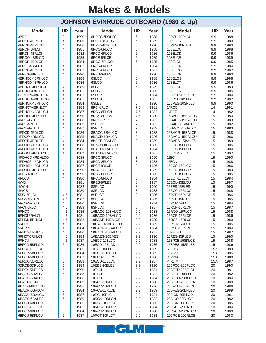|                                  |            |              | <b>JOHNSON EVINRUDE OUTBOARD (1980 &amp; Up)</b> |            |              |                                  |            |              |
|----------------------------------|------------|--------------|--------------------------------------------------|------------|--------------|----------------------------------|------------|--------------|
| <b>Model</b>                     | <b>HP</b>  | Year         | <b>Model</b>                                     | <b>HP</b>  | Year         | <b>Model</b>                     | <b>HP</b>  | Year         |
| 3BRE                             | 3          | 1990         | 6DRCC-6DRLCC                                     | 6          | 1988         | 10RCU-10RLCU                     | 9.9        | 1988         |
| 4BRCC-4BRLCC                     | 4          | 1988         | 6DRCE-6DRLCE                                     | 6          | 1989         | 10RELES<br>10RES-10RLES          | 9.9        | 1989         |
| 4BRCD-4BRLCD<br>4BRCI-4BRLCI     | 4<br>4     | 1986<br>1981 | 6DRES-6DRLES<br>6RCC-6RLCC                       | 6<br>6     | 1990<br>1988 | 10SELCC                          | 9.9<br>9.9 | 1990<br>1988 |
| 4BRCN-4BRLCN                     | 4          | 1982         | 6RCD-6RLCD                                       | 6          | 1986         | 10SELCD                          | 9.9        | 1986         |
| 4BRCO-4BRLCO                     | 4          | 1985         | 6RCE-6RLCE                                       | 6          | 1989         | 10SELCE                          | 9.9        | 1989         |
| 4BRCR-4BRLCR                     | 4          | 1984         | 6RCO-6RLCO                                       | 6          | 1985         | 10SELCI                          | 9.9        | 1985         |
| 4BRCT-4BRLCT                     | 4          | 1983         | 6RCR-6RLCR                                       | 6          | 1984         | 10SELCN                          | 9.9        | 1984         |
| 4BRCU-4BRLCU                     | 4          | 1987         | 6RCU-6RLCU                                       | 6          | 1987         | 10SELCO                          | 9.9        | 1987         |
| 4BRES-4BRLES                     | 4          | 1990         | 6RES-6RLES                                       | 6          | 1990         | 10SELCR                          | 9.9        | 1990         |
| 4BRHCC-4BRHLCC                   | 4          | 1988         | 6SLCC                                            | 6          | 1988         | 10SELCS                          | 9.9        | 1988         |
| 4BRHCD-4BRHLCD                   | 4          | 1986         | 6SLCD                                            | 6          | 1986         | 10SELCT                          | 9.9        | 1986         |
| 4BRHCE-4BRHLCE                   | 4          | 1989         | 6SLCE                                            | 6          | 1989         | 10SELCU                          | 9.9        | 1989         |
| 4BRHCI-4BRHLCI                   | 4          | 1981         | 6SLCO                                            | 6          | 1985         | 10SELES                          | 9.9        | 1985         |
| <b>BBRHCN-4BRHLCN</b>            | 4          | 1982         | 6SLCR                                            | 6          | 1984         | 10SPCC-10SPLCC                   | 9.9        | 1984         |
| 4BRHCO-4BRHLCO<br>4BRHCR-4BRHLCR | 4<br>4     | 1985<br>1984 | 6SLCU<br>6SLES                                   | 6<br>6     | 1987<br>1990 | 10SPCE-10SPLCE<br>10SPES-10SPLES | 9.9<br>9.9 | 1987<br>1990 |
| 4BRHCT-4BRHLCT                   | 4          | 1983         | 8RCI-8RLCI                                       | 7.5        | 1981         | 14RCC                            | 14         | 1981         |
| 4BRHCU-4BRHLCU                   | 4          | 1987         | 8RCN-8RLCN                                       | 7.5        | 1982         | 14RCE                            | 14         | 1982         |
| 4BRHES-4BRHLES                   | 4          | 1990         | 8RCS-8RLCS                                       | 7.5        | 1980         | 15BACC-15BALCC                   | 15         | 1980         |
| 4RCC-4RLCC                       | 4          | 1988         | 8RCT-8RLCT                                       | 7.5        | 1983         | 15BACD-15BALCD                   | 15         | 1983         |
| 4RCE-4RLCE                       | 4          | 1989         | 8SRLCN                                           | 7.5        | 1982         | 15BACE-15BALCE                   | 15         | 1982         |
| 4RCU-4RLCU                       | 4          | 1987         | 8SRLCT                                           | 7.5        | 1983         | 15BACO-15BALCO                   | 15         | 1983         |
| 4RDCD-4RDLCD                     | 4          | 1986         | 8BACC-8BALCC                                     | 8          | 1988         | 15BACR-15BALCR                   | 15         | 1988         |
| 4RDCO-4RDLCO                     | 4          | 1985         | 8BACD-8BALCD                                     | 8          | 1986         | 15BACU-15BALCU                   | 15         | 1986         |
| 4RDCR-4RDLCR                     | 4          | 1984         | 8BACE-8BALCE                                     | 8          | 1989         | 15BAES-15BALES                   | 15         | 1989         |
| 4RDHCC-4RDHLCC                   | 4          | 1988         | 8BACO-8BALCO                                     | 8          | 1985         | 15ECC-15ELCC                     | 15         | 1985         |
| 4RDHCD-4RDHLCD                   | 4          | 1986         | 8BACR-8BALCR                                     | 8          | 1984         | 15ECD-15ELCD                     | 15         | 1984         |
| 4RDHCE-4RDHLCE                   | 4          | 1989         | 8BACU-8BALCU                                     | 8          | 1987         | 15ECE-15ELCE                     | 15         | 1987         |
| 4RDHCO-4RDHLCO                   | 4          | 1985         | 8RCC-8RLCC                                       | 8          | 1990         | 15ECI                            | 15         | 1990         |
| 4RDHCR-4RDHLCR                   | 4          | 1984         | 8RCD-8RLCD                                       | 8          | 1988         | 15ECN                            | 15         | 1988         |
| 4RDHCU-4RDHLCU                   | 4          | 1987         | 8RCE-8RLCE                                       | 8          | 1986         | 15ECO-15ELCO                     | 15         | 1986         |
| 4RDHES-4RDHLES<br>4RES-4RLES     | 4<br>4     | 1990<br>1990 | 8RCO-8RLCO<br>8RCR-8RLCR                         | 8<br>8     | 1989<br>1985 | 15ECR-15ELCR<br>15ECS-15ELCS     | 15<br>15   | 1989<br>1985 |
| 4RLCS                            | 4          | 1980         | 8RCU-8RLCU                                       | 8          | 1984         | 15ECT-15ELCT                     | 15         | 1984         |
| 4WCI                             | 4          | 1981         | 8RES-8RLES                                       | 8          | 1987         | 15ECU-15ELCU                     | 15         | 1987         |
| 4WCN                             | 4          | 1982         | 8SRLCC                                           | 8          | 1990         | 15EES-15ELES                     | 15         | 1990         |
| 4WCS                             | 4          | 1980         | 8SRLCD                                           | 8          | 1988         | 15RCC-15RLCC                     | 15         | 1988         |
| 5RCI-5RLCI                       | 4.5        | 1981         | 8SRLCE                                           | 8          | 1986         | 15RCD-15RLCD                     | 15         | 1986         |
| 5RCN-5RLCN                       | 4.5        | 1982         | 8SRLCO                                           | 8          | 1985         | 15RCE-15RLCE                     | 15         | 1985         |
| 5RCS-5RLCS                       | 4.5        | 1980         | 8SRLCR                                           | 8          | 1984         | 15RCI-15RLCI                     | 15         | 1984         |
| 5RCT-5RLCT                       | 4.5        | 1983         | 8SRLCU                                           | 8          | 1987         | 15RCN-15RLCN                     | 15         | 1987         |
| 5RHCO                            | 4.5        | 1986         | 10BACC-10BALCC                                   | 9.9        | 1988         | 15RCO-15RLCO                     | 15         | 1988         |
| 5RHCI-5RHLCI                     | 4.5        | 1981         | 10BACD-10BALCD                                   | 9.9        | 1986         | 15RCR-15RLCR                     | 15         | 1986         |
| 5RHCN-5RHLCI                     | 4.5        | 1982         | 10BACE-10BALCE                                   | 9.9        | 1989         | 15RCS-15RLCS                     | 15         | 1989         |
| 5RHCO<br>5RHCR                   | 4.5        | 1985         | 10BACO-10BALCO                                   | 9.9        | 1985         | 15RCT-15RLCT                     | 15         | 1985         |
| 5RHCS-5RHLCS                     | 4.5<br>4.5 | 1984<br>1980 | 10BACR-10BALCR<br>10BACU-10BALCU                 | 9.9<br>9.9 | 1984<br>1987 | 15RCU-15RLCU<br>15RELES          | 15<br>15   | 1984<br>1987 |
| 5RHCT-5RHLCT                     | 4.5        | 1983         | 10BAES-10BAES                                    | 9.9        | 1990         | 15RES-15RLES                     | 15         | 1990         |
| 5RHCU                            | 4.5        | 1987         | 10ECC-10ELCC                                     | 9.9        | 1988         | 15SPCE-15SPLCE                   | 15         | 1988         |
| 5BFCD-5BFLCD                     | 5          | 1986         | 10ECD-10ELCD                                     | 9.9        | 1986         | 15SPES-15SPLES                   | 15         | 1986         |
| 5BFCO-5BFLCO                     | 5          | 1985         | 10ECE-10ELCE                                     | 9.9        | 1989         | <b>KT-11C</b>                    | 15A        | 1989         |
| 5BFCR-5BFLCR                     | 5          | 1984         | 10ECO-10ELCO                                     | 9.9        | 1985         | <b>KT-12R</b>                    | 15A        | 1985         |
| 5BFCU-5BFLCU                     | 5          | 1987         | 10ECS-10ELCS                                     | 9.9        | 1980         | <b>KT-13A</b>                    | <b>15A</b> | 1980         |
| 5DRCC-5DRLCC                     | 5          | 1988         | 10ECU-10ELCU                                     | 9.9        | 1987         | <b>KT-14M</b>                    | 15A        | 1987         |
| 5DRCE-5DRLCE                     | 5          | 1989         | 10EES-10ELES                                     | 9.9        | 1990         | 20BFCC-20BFLCC                   | 20         | 1990         |
| 5DRES-5DRLES                     | 5          | 1990         | 10ELCI                                           | 9.9        | 1981         | 20BFCD-20BFLCD                   | 20         | 1981         |
| 6BACC-6BALCC                     | 6          | 1988         | 10ELCN                                           | 9.9        | 1982         | 20BFCE-20BFLCE                   | 20         | 1982         |
| 6BACD-6BALCD                     | 6          | 1986         | 10ELCR                                           | 9.9        | 1984         | 20BFCO-20BFLCO                   | 20         | 1984         |
| 6BACE-6BALCE                     | 6          | 1989         | 10RCC-10RLCC                                     | 9.9        | 1988         | 20BFCR-20BFLCR                   | 20         | 1988         |
| 6BACO-6BALCO                     | 6          | 1985         | 10RCD-10RLCD                                     | 9.9        | 1986         | 20BFCU-20BFLCU                   | 20         | 1986         |
| 6BACR-6BALCR                     | 6<br>6     | 1984         | 10RCE-10RLCE                                     | 9.9        | 1989         | 20BFES-20BFLES                   | 20<br>20   | 1989<br>1981 |
| 6BACU-6BALCU<br>6BAES-6BALES     | 6          | 1987<br>1989 | 10RCI-10RLCI<br>10RCN-10RLCN                     | 9.9<br>9.9 | 1981<br>1982 | 20BICD-20BILCD<br>20BICO-20BILCO | 20         | 1982         |
| 6BFCD-6BFLCD                     | 6          | 1986         | 10RCO-10RLCO                                     | 9.9        | 1985         | 20BICR-20BILCR                   | 20         | 1985         |
| 6BFCO-6BFLCO                     | 6          | 1985         | 10RCR-10RLCR                                     | 9.9        | 1984         | 20CRCC-20CRLCC                   | 20         | 1984         |
| 6BFCR-6BFLCR                     | 6          | 1984         | 10RCS-10RLCS                                     | 9.9        | 1980         | 20CRCD-20CRLCD                   | 20         | 1980         |
| 6BFCU-6BFLCU                     | 6          | 1987         | 10RCT-10RLCT                                     | 9.9        | 1983         | 20CRCE-20CRLCE                   | 20         | 1983         |

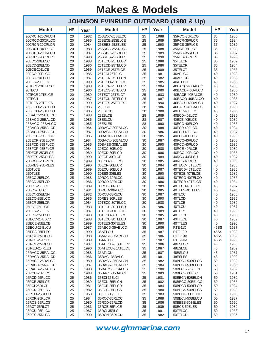| <b>JOHNSON EVINRUDE OUTBOARD (1980 &amp; Up)</b> |           |              |                                  |           |              |                    |           |              |  |  |  |  |
|--------------------------------------------------|-----------|--------------|----------------------------------|-----------|--------------|--------------------|-----------|--------------|--|--|--|--|
| <b>Model</b>                                     | <b>HP</b> | Year         | <b>Model</b>                     | <b>HP</b> | Year         | <b>Model</b>       | <b>HP</b> | Year         |  |  |  |  |
| 20CRCN-20CRLCN                                   | 20        | 1982         | 25SECC-25SELCC                   | 25        | 1988         | 35RCO-35RLCO       | 35        | 1985         |  |  |  |  |
| 20CRCO-20CRLCO                                   | 20        | 1985         | 25SECE-25SELCE                   | 25        | 1989         | 35RCR-35RLCR       | 35        | 1984         |  |  |  |  |
| 20CRCR-20CRLCR                                   | 20        | 1984         | 25SEES-25SELES                   | 25        | 1990         | 35RCS-35RLCS       | 35        | 1980         |  |  |  |  |
| 20CRCT-20CRLCT                                   | 20        | 1983         | 25SRCC-25SRLCC                   | 25        | 1988         | 35RCT-35RLCT       | 35        | 1983         |  |  |  |  |
| 20CRCU-20CRLCU                                   | 20        | 1987         | 25SRCE-25SRLCE                   | 25        | 1989         | 35RCU-35RLCU       | 35        | 1987         |  |  |  |  |
| 20CRES-20CRLES                                   | 20        | 1990         | 25SRES-25SRLES                   | 25        | 1990         | 35RES-35RLES       | 35        | 1990         |  |  |  |  |
| 20ECC-20ELCC                                     | 20        | 1988         | 25TECC-25TELCC                   | 25        | 1988         | 35TELCN            | 35        | 1982         |  |  |  |  |
| 20ECD-20ELCD                                     | 20        | 1986         | 25TECD-25TELCD                   | 25        | 1986         | 35TELCR            | 35        | 1984         |  |  |  |  |
| 20ECE-20ELCE                                     | 20        | 1989         | 25TECE-25TELCE                   | 25        | 1989         | 35TELCT            | 35        | 1983         |  |  |  |  |
| 20ECO-20ELCO                                     | 20        | 1985<br>1987 | 25TECl-25TELCI                   | 25        | 1981         | 40AELCC<br>40ARLCC | 40        | 1988         |  |  |  |  |
| 20ECU-20ELCU<br>20EES-20ELES                     | 20<br>20  | 1990         | 25TECN-25TELCN<br>25TECO-25TELCO | 25<br>25  | 1982<br>1985 | 40ATLCC            | 40<br>40  | 1988<br>1988 |  |  |  |  |
| 20TECC-20TELCC                                   | 20        | 1988         | 25TECR-25TELCR                   | 25        | 1984         | 40BACC-40BALCC     | 40        | 1988         |  |  |  |  |
| 20TECD                                           | 20        | 1986         | 25TECS-25TELCS                   | 25        | 1980         | 40BACD-40BALCD     | 40        | 1986         |  |  |  |  |
| 20TECE-20TELCE                                   | 20        | 1989         | 25TECT-25TELCT                   | 25        | 1983         | 40BACE-40BALCE     | 40        | 1989         |  |  |  |  |
| 20TECU                                           | 20        | 1987         | 25TECU-25TELCU                   | 25        | 1987         | 40BACO-40BALCO     | 40        | 1985         |  |  |  |  |
| 20TEES-20TELES                                   | 20        | 1990         | 25TEES-25TELES                   | 25        | 1990         | 40BACU-40BALCU     | 40        | 1987         |  |  |  |  |
| 25BECO-25BELCO                                   | 25        | 1985         | 28ELCD                           | 28        | 1986         | 40BAES-40BALES     | 40        | 1990         |  |  |  |  |
| 25BFCO-25BFLCO                                   | 25        | 1985         | 28ESLCC                          | 28        | 1988         | 40ECC-40ELCC       | 40        | 1988         |  |  |  |  |
| 25BACC-25BALCC                                   | 25        | 1988         | 28ESLCE                          | 28        | 1989         | 40ECD-40ELCD       | 40        | 1986         |  |  |  |  |
| 25BACD-25BALCD                                   | 25        | 1986         | 28ESLCU                          | 28        | 1987         | 40ECE-40ELCE       | 40        | 1989         |  |  |  |  |
| 25BACO-25BALCO                                   | 25        | 1985         | 28ESLES                          | 28        | 1990         | 40ECO-40ELCO       | 40        | 1985         |  |  |  |  |
| 25BACR-25BALCR                                   | 25        | 1984         | 30BACC-30BALCC                   | 30        | 1988         | 40ECR-40ELCR       | 40        | 1984         |  |  |  |  |
| 25BACU-25BALCU                                   | 25        | 1987         | 30BACD-30BALCD                   | 30        | 1986         | 40ECU-40ELCU       | 40        | 1987         |  |  |  |  |
| 25BECD-25BELCD                                   | 25        | 1986         | 30BACO-30BALCO                   | 30        | 1985         | 40EES-40ELES       | 40        | 1990         |  |  |  |  |
| 25BECR-25BELCR                                   | 25        | 1984         | 30BACU-30BALCU                   | 30        | 1987         | 40RCC-40RLCC       | 40        | 1988         |  |  |  |  |
| 25BFCD-25BFLCD                                   | 25        | 1986         | 30BAES-30BALES                   | 30        | 1990         | 40RCD-40RLCD       | 40        | 1986         |  |  |  |  |
| 25BFCR-25BFLCR                                   | 25        | 1984         | 30ECC-30ELCC                     | 30        | 1988         | 40RCE-40RLCE       | 40        | 1989         |  |  |  |  |
| 25DECE-25DELCE                                   | 25        | 1989         | 30ECD-30ELCD                     | 30        | 1986         | 40RCO-40RLCO       | 40        | 1985         |  |  |  |  |
| 25DEES-25DELES                                   | 25        | 1990         | 30ECE-30ELCE                     | 30        | 1989         | 40RCU-40RLCU       | 40        | 1987         |  |  |  |  |
| 25DRCE-25DRLCE                                   | 25        | 1989         | 30ECO-30ELCO                     | 30        | 1985         | 40RES-40RLES       | 40        | 1990         |  |  |  |  |
| 25DRES-25DRLES                                   | 25        | 1990         | 30ECR-30ELCR                     | 30        | 1984         | 40TECC-40TELCC     | 40        | 1988         |  |  |  |  |
| 25DTLCE                                          | 25        | 1989         | 30ECU-30ELCU                     | 30        | 1987         | 40TECD-40TELCD     | 40        | 1986         |  |  |  |  |
| 25DTLES                                          | 25        | 1990         | 30EES-30ELES                     | 30        | 1990         | 40TECE-40TELCE     | 40        | 1989         |  |  |  |  |
| 25ECC-25ELCC                                     | 25        | 1988         | 30RCC-30RLCC                     | 30        | 1988         | 40TECO-40TELCO     | 40        | 1985         |  |  |  |  |
| 25ECD-25ELCD                                     | 25        | 1986         | 30RCD-30RLCD                     | 30        | 1986         | 40TECR-40TELCR     | 40        | 1984         |  |  |  |  |
| 25ECE-25ELCE                                     | 25        | 1989         | 30RCE-30RLCE                     | 30        | 1989         | 40TECU-40TELCU     | 40        | 1987         |  |  |  |  |
| 25ECI-25ELCI                                     | 25        | 1981         | 30RCO-30RLCO                     | 30        | 1985         | 40TEES-40TELES     | 40        | 1990         |  |  |  |  |
| 25ECN-25ELCN                                     | 25        | 1982         | 30RCU-30RLCU                     | 30        | 1987         | 40TLCC             | 40        | 1988         |  |  |  |  |
| 25ECO-25ELCO                                     | 25        | 1985         | 30RES-30RLES                     | 30        | 1990         | 40TLCD             | 40        | 1986         |  |  |  |  |
| 25ECR-25ELCR                                     | 25        | 1984         | 30TECC-30TELCC                   | 30        | 1988         | 40TLCE             | 40        | 1989         |  |  |  |  |
| 25ECT-25ELCT                                     | 25        | 1983         | 30TECD-30TELCD                   | 30        | 1986         | 40TLCU             | 40        | 1987         |  |  |  |  |
| 25EES-25ELES                                     | 25        | 1987         | 30TECE-30TELCE                   | 30        | 1989         | 40TLES             | 40        | 1990         |  |  |  |  |
| 25ECU-25ELCU<br>25IECC-25IELCC                   | 25<br>25  | 1990<br>1988 | 30TECO-30TELCO<br>30TECU-30TELCU | 30<br>30  | 1985<br>1987 | 40TTLCC<br>40TTLCE | 40<br>40  | 1988<br>1989 |  |  |  |  |
| 25IECE-25IELCE                                   | 25        | 1989         | 30TEES-30TELES                   | 30        | 1990         | 40TTLES            | 40        | 1990         |  |  |  |  |
| 25IECU-25IELCU                                   | 25        | 1987         | 35AECD-35AELCD                   | 35        | 1986         | RTE-11C            | 45SS      | 1987         |  |  |  |  |
| 25IEES-25IELES                                   | 25        | 1990         | 35AELCU                          | 35        | 1987         | RTE-12R            | 45SS      | 1988         |  |  |  |  |
| 25IRCC-25IRLCC                                   | 25        | 1988         | 35ARCD-35ARLCD                   | 35        | 1986         | RTE-13A            | 45SS      | 1989         |  |  |  |  |
| 25IRCE-25IRLCE                                   | 25        | 1989         | 35ARLCU                          | 35        | 1987         | RTE-14M            | 45SS      | 1990         |  |  |  |  |
| 25IRCU-25IRLCU                                   | 25        | 1987         | 35ATECD-35ATELCD                 | 35        | 1986         | 48ESLCC            | 48        | 1988         |  |  |  |  |
| 25IRES-25IRLES                                   | 25        | 1990         | 35ATECU-35ATELCU                 | 35        | 1987         | 48ESLCE            | 48        | 1989         |  |  |  |  |
| 25RACC-25RALCC                                   | 25        | 1988         | 35ATLCU                          | 35        | 1987         | 48ESLCU            | 48        | 1987         |  |  |  |  |
| 25RACD-25RALCD                                   | 25        | 1986         | 35BACI-35BALCI                   | 35        | 1981         | 48ESLES            | 48        | 1990         |  |  |  |  |
| 25RACE-25RALCE                                   | 25        | 1989         | 35BACN-35BALCN                   | 35        | 1982         | 50BECC-50BELCC     | 50        | 1988         |  |  |  |  |
| 25RACU-25RALCU                                   | 25        | 1987         | 35BACR-35BALCR                   | 35        | 1984         | 50BECD-50BELCD     | 50        | 1986         |  |  |  |  |
| 25RAES-25RALES                                   | 25        | 1990         | 35BACS-35BALCS                   | 35        | 1980         | 50BECE-50BELCE     | 50        | 1989         |  |  |  |  |
| 25RCC-25RLCC                                     | 25        | 1988         | 35BACT-35BALCT                   | 35        | 1983         | 50BECI-50BELCI     | 50        | 1981         |  |  |  |  |
| 25RCD-25RLCD                                     | 25        | 1986         | 35ECI-35ELCI                     | 35        | 1981         | 50BECN-50BELCN     | 50        | 1982         |  |  |  |  |
| 25RCE-25RLCE                                     | 25        | 1989         | 35ECN-35ELCN                     | 35        | 1982         | 50BECO-50BELCO     | 50        | 1985         |  |  |  |  |
| 25RCI-25RLCI                                     | 25        | 1981         | 35ECR-35ELCR                     | 35        | 1984         | 50BECR-50BELCR     | 50        | 1984         |  |  |  |  |
| 25RCN-25RLCN                                     | 25        | 1982         | 35ECS-35ELCS                     | 35        | 1980         | 50BECS-50BELCS     | 50        | 1980         |  |  |  |  |
| 25RCO-25RLCO                                     | 25        | 1958         | 35ECT-35ELCT                     | 35        | 1983         | 50BECT-50BELCT     | 50        | 1983         |  |  |  |  |
| 25RCR-25RLCR                                     | 25        | 1984         | 35RCC-35RLCC                     | 35        | 1988         | 50BECU-50BELCU     | 50        | 1987         |  |  |  |  |
| 25RCS-25RLCS                                     | 25        | 1980         | 35RCD-35RLCD                     | 35        | 1986         | 50BEES-50BELES     | 50        | 1990         |  |  |  |  |
| 25RCT-25RLCT                                     | 25        | 1983         | 35RCE-35RLCE                     | 35        | 1989         | 50ECS-50ELES       | 50        | 1980         |  |  |  |  |
| 25RCU-25RLCU                                     | 25        | 1987         | 35RCI-35RLCI                     | 35        | 1981         | 50TELCC            | 50        | 1988         |  |  |  |  |
| 25RES-25RLES                                     | 25        | 1990         | 35RCN-35RLCN                     | 35        | 1982         | 50TELCD            | 50        | 1986         |  |  |  |  |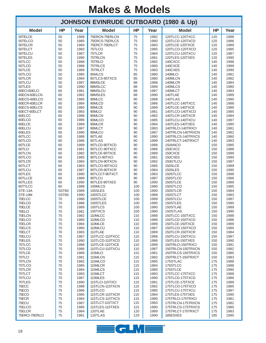| <b>JOHNSON EVINRUDE OUTBOARD (1980 &amp; Up)</b> |           |              |                                    |            |              |                                        |            |              |  |  |  |  |
|--------------------------------------------------|-----------|--------------|------------------------------------|------------|--------------|----------------------------------------|------------|--------------|--|--|--|--|
| <b>Model</b>                                     | <b>HP</b> | Year         | <b>Model</b>                       | <b>HP</b>  | Year         | <b>Model</b>                           | <b>HP</b>  | Year         |  |  |  |  |
| 50TELCE                                          | 50        | 1989         | 75ERCN-75ERLCN                     | 75         | 1982         | 120TLCC-120TXCC                        | 120        | 1988         |  |  |  |  |
| 50TELCO                                          | 50        | 1985         | 75ERCS-75ERLCS                     | 75         | 1980         | 120TLCD-120TXCD                        | 120        | 1986         |  |  |  |  |
| 50TELCR                                          | 50<br>50  | 1984<br>1983 | 75ERCT-75ERLCT<br>75TLCO           | 75<br>75   | 1983<br>1985 | 120TLCE-120TXCE<br>120TLCO-120TXCO     | 120<br>120 | 1989<br>1985 |  |  |  |  |
| 50TELCT<br>50TELCU                               | 50        | 1987         | 75TLCR                             | 75         | 1984         | 120TLCU-120TXCU                        | 120        | 1987         |  |  |  |  |
| 50TELES                                          | 50        | 1990         | 75TRLCN                            | 75         | 1981         | 120TLES-120TXES                        | 120        | 1990         |  |  |  |  |
| 50TLCC                                           | 50        | 1988         | 75TRLCI                            | 75         | 1982         | 140CXCC                                | 140        | 1988         |  |  |  |  |
| 50TLCD                                           | 50        | 1986         | 75TRLCS                            | 75         | 1980         | 140CXCE                                | 140        | 1989         |  |  |  |  |
| 50TLCE                                           | 50        | 1989         | 75TRLCT                            | 75         | 1983         | 140CXES                                | 140        | 1990         |  |  |  |  |
| 50TLCO                                           | 50        | 1985         | 85MLCS                             | 85         | 1980         | 140MLCI                                | 140        | 1981         |  |  |  |  |
| 50TLCR                                           | 50        | 1984         | 85TLCS-85TXCS                      | 85         | 1980         | 140MLCN                                | 140        | 1982         |  |  |  |  |
| 50TLCU                                           | 50        | 1987         | 88MSLCE                            | 88         | 1988         | 140MLCR                                | 140        | 1984         |  |  |  |  |
| 50TLES                                           | 50        | 1990         | 88MSLCC                            | 88         | 1989         | 140MLCS                                | 140        | 1980         |  |  |  |  |
| 60ECI-60ELCI                                     | 60        | 1981         | 88MSLCU                            | 88         | 1987         | 140MLCT                                | 140        | 1983         |  |  |  |  |
| 60ECN-60ELCN                                     | 60        | 1982         | 88MSLES                            | 88         | 1990         | 140TLAE                                | 140        | 1989         |  |  |  |  |
| 60ECO-60ELCO<br>60ECR-60ELCR                     | 60<br>60  | 1985<br>1984 | 90MLCC<br>90MLCD                   | 90<br>90   | 1988<br>1986 | 140TLAS<br>140TLCC-140TXCC             | 140<br>140 | 1990<br>1988 |  |  |  |  |
| 60ECS-60ELCS                                     | 60        | 1980         | 90MLCE                             | 90         | 1989         | 140TLCE-140TXCE                        | 140        | 1989         |  |  |  |  |
| 60ECT-60ELCT                                     | 60        | 1983         | 90MLCI                             | 90         | 1981         | 140TLCO-140TXCO                        | 140        | 1985         |  |  |  |  |
| 60ELCC                                           | 60        | 1988         | 90MLCN                             | 90         | 1982         | 140TLCR-140TXCR                        | 140        | 1984         |  |  |  |  |
| 60ELCD                                           | 60        | 1986         | 90MLCO                             | 90         | 1985         | 140TLCU-140TXCU                        | 140        | 1987         |  |  |  |  |
| 60ELCE                                           | 60        | 1989         | 90MLCR                             | 90         | 1984         | 140TLES-140TXES                        | 140        | 1990         |  |  |  |  |
| 60ELCU                                           | 60        | 1987         | 90MLCT                             | 90         | 1983         | 140TRLCI-140TRXCI                      | 140        | 1981         |  |  |  |  |
| 60ELES                                           | 60        | 1990         | 90MLCU                             | 90         | 1987         | 140TRLCN-140TRXCN                      | 140        | 1982         |  |  |  |  |
| 60TLCC                                           | 60        | 1988         | 90TLAE                             | 90         | 1990         | 140TRLCS-140TRXCS                      | 140        | 1980         |  |  |  |  |
| 60TLCD                                           | 60        | 1986         | 90TLAS                             | 90         | 1989         | 140TRLCT-140TRXCT                      | 140        | 1983         |  |  |  |  |
| 60TLCE                                           | 60        | 1989         | 90TLCD-90TXCD                      | 90         | 1988         | 150ANCO                                | 150        | 1985         |  |  |  |  |
| 60TLCI                                           | 60        | 1981         | 90TLCC-90TXCC                      | 90         | 1986         | 150CXCC                                | 150        | 1988         |  |  |  |  |
| 60TLCN<br>60TLCO                                 | 60<br>60  | 1982<br>1985 | 90TLCE-90TXCE<br>90TLCI-90TXCI     | 90<br>90   | 1989<br>1981 | 150CXCE<br>150CXES                     | 150<br>150 | 1989<br>1990 |  |  |  |  |
| 60TLCR                                           | 60        | 1984         | 90TLCN-90TXCN                      | 90         | 1982         | 150GTLCU                               | 150        | 1987         |  |  |  |  |
| 60TLCT                                           | 60        | 1983         | 90TLCO-90TXCO                      | 90         | 1985         | 150SLCE                                | 150        | 1989         |  |  |  |  |
| 60TLCU                                           | 60        | 1987         | 90TLCR-90TXCR                      | 90         | 1984         | 150SLES                                | 150        | 1990         |  |  |  |  |
| 60TLES                                           | 60        | 1990         | 90TLCCT-90TXCT                     | 90         | 1983         | 150STLCC                               | 150        | 1988         |  |  |  |  |
| 60TLLCE                                          | 60        | 1989         | 90TLCU                             | 90         | 1987         | 150STLCD                               | 150        | 1986         |  |  |  |  |
| 60TLLES                                          | 60        | 1990         | 90TLES-90TXES                      | 90         | 1990         | 150STLCE                               | 150        | 1989         |  |  |  |  |
| 60TTLCC                                          | 60        | 1988         | 100MLCS                            | 100        | 1980         | 150STLCO                               | 150        | 1985         |  |  |  |  |
| STE-13A                                          | SST60     | 1989         | 100SLES                            | 100        | 1990         | 150STLCR                               | 150        | 1984         |  |  |  |  |
| STE-14M                                          | SST60     | 1990         | 100STLCC                           | 100        | 1988         | 150STLCT                               | 150        | 1983         |  |  |  |  |
| 70ELCC                                           | 70        | 1988         | 100STLCE                           | 100        | 1989         | 150STLCU                               | 150        | 1987         |  |  |  |  |
| 70ELCD<br>70ELCE                                 | 70<br>70  | 1986<br>1989 | 100STLES<br>100TLCS                | 100<br>100 | 1990<br>1980 | 150STLES<br>150STLAE                   | 150<br>150 | 1990<br>1989 |  |  |  |  |
| 70ELCI                                           | 70        | 1981         | 100TXCS                            | 100        | 1980         | 150STLAS                               | 150        | 1990         |  |  |  |  |
| 70ELCN                                           | 70        | 1982         | 110MLCC                            | 110        | 1988         | 150TLCC-150TXCC                        | 150        | 1988         |  |  |  |  |
| 70ELCO                                           | 70        | 1985         | 110MLCD                            | 110        | 1986         | 150TLCD-150TXCD                        | 150        | 1986         |  |  |  |  |
| 70ELCR                                           | 70        | 1984         | 110MLCE                            | 110        | 1989         | 150TLCE-150TXCE                        | 150        | 1989         |  |  |  |  |
| 70ELCS                                           | 70        | 1980         | 110MLCU                            | 110        | 1987         | 150TLCO-150TXCO                        | 150        | 1985         |  |  |  |  |
| 70ELCT                                           | 70        | 1983         | 110TLAE                            | 110        | 1989         | 150TLCR-150TXCR                        | 150        | 1984         |  |  |  |  |
| 70ELCU                                           | 70        | 1987         | 110TLCC-110TXCC                    | 110        | 1988         | 150TLCU-150TXCU                        | 150        | 1987         |  |  |  |  |
| 70ELES                                           | 70        | 1990         | 110TLCD-110TXCD                    | 110        | 1986         | 150TLES-150TXES                        | 150        | 1990         |  |  |  |  |
| 70TLCC                                           | 70        | 1988         | 110TLCE-110TXCE                    | 110        | 1989         | 150TRLCI-150TRXCI                      | 150        | 1981         |  |  |  |  |
| 70TLCD<br>70TLCE                                 | 70<br>70  | 1986<br>1989 | 110TLCU-110TXCU<br>115MLCI         | 110<br>115 | 1987<br>1981 | 150TRLCN-150TRXCN<br>150TRLCS-150TRXCS | 150<br>150 | 1982<br>1980 |  |  |  |  |
| 70TLCI                                           | 70        | 1981         | 115MLCN                            | 115        | 1982         | 150TRLCT-150TRXCT                      | 150        | 1983         |  |  |  |  |
| 70TLCN                                           | 70        | 1982         | 115MLCO                            | 115        | 1985         | 175STLAC                               | 175        | 1988         |  |  |  |  |
| 70TLCO                                           | 70        | 1985         | 115MLCR                            | 115        | 1984         | 175STLCC                               | 175        | 1988         |  |  |  |  |
| 70TLCR                                           | 70        | 1984         | 115MLCS                            | 115        | 1980         | 175STLCE                               | 175        | 1990         |  |  |  |  |
| 70TLCT                                           | 70        | 1983         | 115MLCT                            | 115        | 1983         | 175TLCC-175TXCC                        | 175        | 1988         |  |  |  |  |
| 70TLCU                                           | 70        | 1987         | 115MLES                            | 115        | 1990         | 175TLCD-175TXCD                        | 175        | 1986         |  |  |  |  |
| 70TLES                                           | 70        | 1990         | 115TLCI-115TXCI                    | 115        | 1981         | 175TLCE-175TXCE                        | 175        | 1989         |  |  |  |  |
| 75ECC                                            | 75        | 1988         | 115TLCN-115TXCN                    | 115        | 1982         | 175TLCO-175TXCO                        | 175        | 1985         |  |  |  |  |
| 75ECD                                            | 75        | 1986         | 115TLCO                            | 115        | 1985         | 175TLCU-175TXCU                        | 175        | 1987         |  |  |  |  |
| 75ECO                                            | 75        | 1985         | 115TLCR-115TXCR                    | 115        | 1984         | 175TLES-175TXES                        | 175        | 1990         |  |  |  |  |
| 75ECR                                            | 75        | 1984         | 115TLCS-115TXCS                    | 115        | 1980         | 175TRLCI-175TRXCI                      | 175        | 1981         |  |  |  |  |
| 75ECU<br>75ELCO                                  | 75<br>75  | 1987<br>1985 | 115TLCT-115TXCT<br>115TLES-115TXES | 115<br>115 | 1983<br>1990 | 175TRLCN-175TRXCN<br>175TRLCS-175TRXCS | 175<br>175 | 1982<br>1980 |  |  |  |  |
| 75ELCR                                           | 75        | 1984         | 120TLAE                            | 120        | 1989         | 175TRLCT-175TRXCT                      | 175        | 1983         |  |  |  |  |
| 75ERCI-75ERLCI                                   | 75        | 1981         | 120TLAS                            | 120        | 1990         | 185ESXES                               | 185        | 1990         |  |  |  |  |

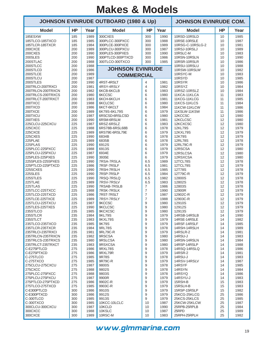|                                    | <b>JOHNSON EVINRUDE OUTBOARD (1980 &amp; Up)</b> |              |                                    |                                  |              | <b>JOHNSON EVINRUDE COM.</b> |           |              |  |
|------------------------------------|--------------------------------------------------|--------------|------------------------------------|----------------------------------|--------------|------------------------------|-----------|--------------|--|
| <b>Model</b>                       | <b>HP</b>                                        | Year         | <b>Model</b>                       | <b>HP</b>                        | Year         | <b>Model</b>                 | <b>HP</b> | Year         |  |
| 185ESXW                            | 185                                              | 1989         | 300CXES                            | 300                              | 1990         | 10RSD-10RSLD                 | 10        | 1985         |  |
| 185TLCO-185TXCO                    | 185                                              | 1985         | 300PLCC-300PXCC                    | 300                              | 1988         | 10RSE-10RSLE                 | 10        | 1987         |  |
| 185TLCR-185TXCR                    | 185                                              | 1984         | 300PLCE-300PXCE                    | 300                              | 1989         | 10RSG-C-10RSLG-2             | 10        | 1981         |  |
| 200CXCE<br>200CXES                 | 200<br>200                                       | 1989<br>1990 | 300PLCU-300PXCU<br>300PLES-300PXES | 300<br>300                       | 1987<br>1990 | 10RSJ-10RSLJ<br>10RSLC-M     | 10<br>10  | 1989<br>1983 |  |
| 200SLES                            | 200                                              | 1990         | 300PTLCD-300PTXCD                  | 300                              | 1986         | 10RSN-10RSLN                 | 10        | 1990         |  |
| 200STLAC                           | 200                                              | 1988         | 300TLCO-300TXCO                    | 300                              | 1985         | 10RSR-10RSLR                 | 10        | 1986         |  |
| 200STLCC                           | 200                                              | 1988         |                                    |                                  |              | 10RSU-10RSLU                 | 10        | 1988         |  |
| 200STLCD                           | 200                                              | 1986         | <b>JOHNSON EVINRUDE</b>            |                                  |              | 10RSW-10RSLW                 | 10        | 1982         |  |
| 200STLCE                           | 200                                              | 1989         | <b>COMMERCIAL</b>                  |                                  |              | 10RSYC-M                     | 10        | 1983         |  |
| 200STLCU                           | 200                                              | 1987         |                                    |                                  |              | 10RSYD                       | 10        | 1985         |  |
| 200STLES                           | 200                                              | 1990         | 4RST-4RSLT                         | 4                                | 1981         | 10RSYR                       | 10        | 1986         |  |
| 200TRLCI-200TRXCI                  | 200                                              | 1981         | 4RSY-4RSLY                         | $\overline{4}$                   | 1982         | 10RSYZ                       | 10        | 1984         |  |
| 200TRLCN-200TRXCN                  | 200                                              | 1982         | 6KCB-6KCLB                         | 6                                | 1983         | 10RSZ-10RSLZ                 | 10        | 1984         |  |
| 200TRLCS-200TRXCS                  | 200                                              | 1980         | 6KCCSC                             | 6                                | 1980         | 11KCA-11KLCA                 | 11        | 1983         |  |
| 200TRLCT-200TRXCT                  | 200                                              | 1983         | 6KCH-6KCLH                         | 6                                | 1981         | 11KCG-11KLCG                 | 11        | 1985         |  |
| 200TXCC                            | 200                                              | 1988         | <b>6KCLCSC</b>                     | 6                                | 1980         | 11KCS-11KLCS                 | 11        | 1984         |  |
| 200TXCD                            | 200                                              | 1986         | 6KCT-6KCLT                         | 6                                | 1984         | 11KCW-11KLCW                 | 11        | 1986         |  |
| 200TXCE                            | 200                                              | 1989         | 6K79S-6KL79S                       | 6                                | 1979         | 11KSLW-11KSW                 | 11        | 1986         |  |
| 200TXCU<br>200TXES                 | 200                                              | 1987         | 6RSCSD-6RSLCSD<br>6RSM-6RSLM       | 6                                | 1980         | 12KCCSC                      | 12        | 1980         |  |
| 225CLCU-225CXCU                    | 200<br>225                                       | 1990<br>1987 | 6RSZ-6RSLZ                         | 6<br>6                           | 1981<br>1983 | 12KCLCSC<br>12KCXCSC         | 12        | 1980<br>1980 |  |
| 225CXCC                            | 225                                              | 1988         | 6RS78B-6RSL68B                     | 6                                | 1978         | <b>12KL79S</b>               | 12<br>12  | 1979         |  |
| 225CXCE                            | 225                                              | 1989         | 6RS79E-6RSL79E                     | 6                                | 1979         | <b>12KXL79S</b>              | 12        | 1979         |  |
| 225CXES                            | 225                                              | 1990         | 6834B                              | 6                                | 1978         | 12K79S                       | 12        | 1979         |  |
| 225PLAE                            | 225                                              | 1989         | 6835B                              | 6                                | 1978         | 12RL78S                      | 12        | 1978         |  |
| 225PLAS                            | 225                                              | 1990         | 6912S                              | 6                                | 1979         | 12RL79C-R                    | 12        | 1979         |  |
| 225PLCC-225PXCC                    | 225                                              | 1988         | 6913S                              | 6                                | 1979         | 12RSCSA                      | 12        | 1980         |  |
| 225PLCU-225PXCU                    | 225                                              | 1987         | 6934E                              | 6                                | 1979         | 12RSLCSA                     | 12        | 1980         |  |
| 225PLES-225PXES                    | 225                                              | 1990         | 3935E                              | 6                                | 1979         | 12RSXCSA                     | 12        | 1980         |  |
| 225SPLES-225SPXES                  | 225                                              | 1990         | 7RSA-7RSLA                         | 6.5                              | 1989         | 12TCL78S                     | 12        | 1978         |  |
| 225PTLCD-225PTXCD                  | 225                                              | 1986         | 7RSF-7RSLF                         | 6.5                              | 1981         | 12TCL79S                     | 12        | 1979         |  |
| 225SCXES                           | 225                                              | 1990         | 7RSH-7RSLH                         | 6.5                              | 1985         | 12T78S                       | 12        | 1978         |  |
| 225SLES                            | 225                                              | 1990         | 7RSP-7RSLP                         | 6.5                              | 1984         | 12T79C-R                     | 12        | 1979         |  |
| 225STLES                           | 225                                              | 1990         | 7RSQ-7RSLQ                         | 6.5                              | 1982         | 12800S                       | 12        | 1978         |  |
| 225TLAE                            | 225                                              | 1989         | 7RSV-7RSLV                         | 6.5                              | 1983         | 12802S                       | 12        | 1978         |  |
| 225TLAS                            | 225                                              | 1990         | 7RSAB-7RSLB                        | $\overline{7}$                   | 1986         | 12803S                       | 12        | 1978         |  |
| 225TLCC-225TXCC<br>225TLCD-225TXCD | 225<br>225                                       | 1988<br>1986 | 7RSK-7RSLK<br>7RST-7RSLT           | $\overline{7}$<br>$\overline{7}$ | 1990<br>1987 | 12900R<br>12902C-R           | 12<br>12  | 1979<br>1979 |  |
| 225TLCE-225TXCE                    | 225                                              | 1989         | 7RSY-7RSLY                         | $\overline{7}$                   | 1988         | 12903C-R                     | 12        | 1979         |  |
| 225TLCU-225TXCU                    | 225                                              | 1987         | 9KCCSC                             | 9                                | 1980         | 12910S                       | 12        | 1979         |  |
| 225TLES-225TXES                    | 225                                              | 1990         | 9KCLCSC                            | 9                                | 1980         | 12912S                       | 12        | 1979         |  |
| 235STLCO                           | 235                                              | 1985         | 9KCXCSC                            | 9                                | 1980         | 12913S                       | 12        | 1979         |  |
| 235STLCR                           | 235                                              | 1984         | 9KL79S                             | 9                                | 1979         | 14RSB-14RSLB                 | 14        | 1990         |  |
| 235STLCT                           | 235                                              | 1983         | 9KXL79S                            | 9                                | 1979         | 14RSE-14RSLE                 | 14        | 1982         |  |
| 235TLCO-235TXCO                    | 235                                              | 1985         | 9K79S                              | 9                                | 1979         | 14RSF-14RSLF                 | 14        | 1985         |  |
| 235TLCR-235TXCR                    | 235                                              | 1984         | 9RL78S                             | 9                                | 1978         | 14RSH-14RSLH                 | 14        | 1989         |  |
| 235TRLCI-235TRXCI                  | 235                                              | 1981         | 9RL79C-R                           | 9                                | 1979         | <b>14RSLR-2</b>              | 14        | 1981         |  |
| 235TRLCN-235TRXCN                  | 235                                              | 1982         | 9RSCSA                             | 9                                | 1980         | 14RSU-J                      | 14        | 1983         |  |
| 235TRLCS-235TRXCS                  | 235                                              | 1980         | 9RSLCSA                            | 9                                | 1980         | 14RSN-14RSLN                 | 14        | 1984         |  |
| 235TRLCT-235TRXCT                  | 235                                              | 1983         | 9RSXCSA                            | 9                                | 1980         | 14RSP-14RSLP                 | 14        | 1988         |  |
| C-E275PTLCD<br>C-E275PTXCD         | 275<br>275                                       | 1986<br>1986 | 9RXL78S<br>9RXL79R                 | 9<br>9                           | 1978<br>1979 | 14RSQ-14RSLQ<br>14RSR-2      | 14<br>14  | 1986<br>1981 |  |
| C-275TLCO                          | 275                                              | 1985         | 9R78S                              | 9                                | 1978         | 14RSU-J                      | 14        | 1983         |  |
| C-275TXCO                          | 275                                              | 1985         | 9R79C-R                            | 9                                | 1979         | 14RSV-14RSLV                 | 14        | 1987         |  |
| 275CLCU-275CXCU                    | 275                                              | 1987         | 9800S                              | 9                                | 1978         | 14RSYF                       | 14        | 1985         |  |
| 275CXCC                            | 275                                              | 1988         | 9802S                              | 9                                | 1978         | 14RSYN                       | 14        | 1984         |  |
| 275PLCC-275PXCC                    | 275                                              | 1988         | 9803S                              | 9                                | 1978         | 14RSYQ                       | 14        | 1986         |  |
| 275PLCU-275PXCU                    | 275                                              | 1987         | 9900R                              | 9                                | 1979         | 14RSYU-J                     | 14        | 1983         |  |
| 275PTLCD-275PTXCD                  | 275                                              | 1986         | 9902C-R                            | 9                                | 1979         | 15RSH-B                      | 15        | 1983         |  |
| 275TLCO-275TXCD                    | 275                                              | 1985         | 9903C-R                            | 9                                | 1979         | 15RSLH-B                     | 15        | 1983         |  |
| C-E300PTLCD                        | 300                                              | 1986         | 9910S                              | 9                                | 1979         | 15RSP-15RSLP                 | 15        | 1982         |  |
| C-E300PTXCD                        | 300                                              | 1986         | 9912S                              | 9                                | 1979         | 25KCG-25KLCG                 | 25        | 1986         |  |
| C-300TLCO                          | 300                                              | 1985         | 9913S                              | 9                                | 1979         | 25KCS-25KLCS                 | 25        | 1985         |  |
| C-300TXCO                          | 300                                              | 1985         | 10KCC-10LCLC                       | 10                               | 1987         | 25KCW-25KLCW                 | 25        | 1987         |  |
| 300CLCU-300CXCU                    | 300                                              | 1987         | 10KCLD                             | 10                               | 1990         | 25RPB-25RPLB                 | 25        | 1984         |  |
| 300CXCC                            | 300                                              | 1988         | 10KSLC                             | 10                               | 1987         | 25RPD                        | 25        | 1989         |  |
| 300CXCE                            | 300                                              | 1989         | 10RSC-M                            | 10                               | 1983         | 25RPH-25RPLH                 | 25        | 1982         |  |

www.glmmarine.com <sup>19</sup>